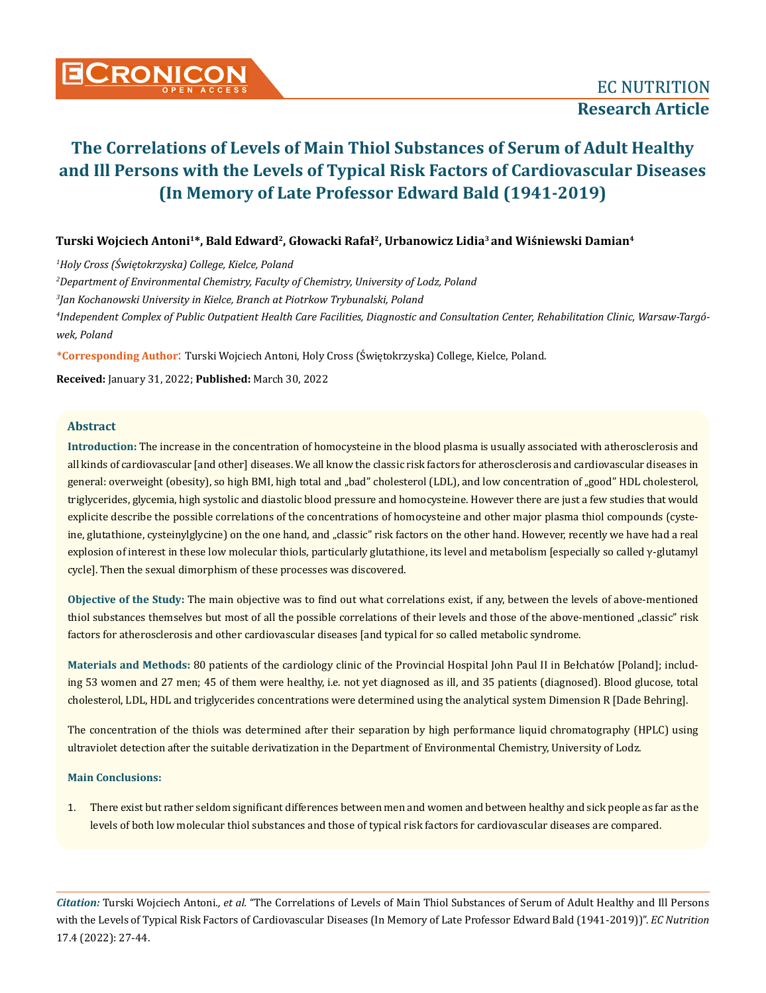

# **Turski Wojciech Antoni1\*, Bald Edward2, Głowacki Rafał2, Urbanowicz Lidia3 and Wiśniewski Damian<sup>4</sup>**

*1 Holy Cross (Świętokrzyska) College, Kielce, Poland*

*2 Department of Environmental Chemistry, Faculty of Chemistry, University of Lodz, Poland*

*3 Jan Kochanowski University in Kielce, Branch at Piotrkow Trybunalski, Poland*

*4 Independent Complex of Public Outpatient Health Care Facilities, Diagnostic and Consultation Center, Rehabilitation Clinic, Warsaw-Targówek, Poland*

**\*Corresponding Author**: Turski Wojciech Antoni, Holy Cross (Świętokrzyska) College, Kielce, Poland.

**Received:** January 31, 2022; **Published:** March 30, 2022

#### **Abstract**

**Introduction:** The increase in the concentration of homocysteine in the blood plasma is usually associated with atherosclerosis and all kinds of cardiovascular [and other] diseases. We all know the classic risk factors for atherosclerosis and cardiovascular diseases in general: overweight (obesity), so high BMI, high total and "bad" cholesterol (LDL), and low concentration of "good" HDL cholesterol, triglycerides, glycemia, high systolic and diastolic blood pressure and homocysteine. However there are just a few studies that would explicite describe the possible correlations of the concentrations of homocysteine and other major plasma thiol compounds (cysteine, glutathione, cysteinylglycine) on the one hand, and "classic" risk factors on the other hand. However, recently we have had a real explosion of interest in these low molecular thiols, particularly glutathione, its level and metabolism [especially so called γ-glutamyl] cycle]. Then the sexual dimorphism of these processes was discovered.

**Objective of the Study:** The main objective was to find out what correlations exist, if any, between the levels of above-mentioned thiol substances themselves but most of all the possible correlations of their levels and those of the above-mentioned "classic" risk factors for atherosclerosis and other cardiovascular diseases [and typical for so called metabolic syndrome.

**Materials and Methods:** 80 patients of the cardiology clinic of the Provincial Hospital John Paul II in Bełchatów [Poland]; including 53 women and 27 men; 45 of them were healthy, i.e. not yet diagnosed as ill, and 35 patients (diagnosed). Blood glucose, total cholesterol, LDL, HDL and triglycerides concentrations were determined using the analytical system Dimension R [Dade Behring].

The concentration of the thiols was determined after their separation by high performance liquid chromatography (HPLC) using ultraviolet detection after the suitable derivatization in the Department of Environmental Chemistry, University of Lodz.

#### **Main Conclusions:**

1. There exist but rather seldom significant differences between men and women and between healthy and sick people as far as the levels of both low molecular thiol substances and those of typical risk factors for cardiovascular diseases are compared.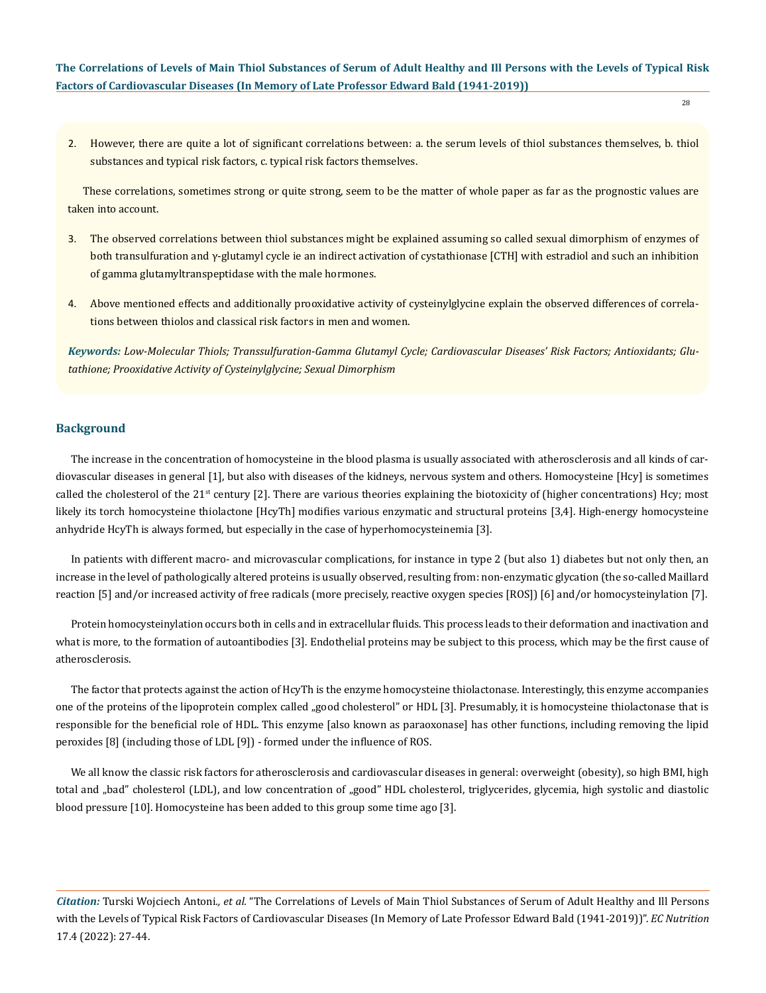28

2. However, there are quite a lot of significant correlations between: a. the serum levels of thiol substances themselves, b. thiol substances and typical risk factors, c. typical risk factors themselves.

These correlations, sometimes strong or quite strong, seem to be the matter of whole paper as far as the prognostic values are taken into account.

- 3. The observed correlations between thiol substances might be explained assuming so called sexual dimorphism of enzymes of both transulfuration and γ-glutamyl cycle ie an indirect activation of cystathionase [CTH] with estradiol and such an inhibition of gamma glutamyltranspeptidase with the male hormones.
- 4. Above mentioned effects and additionally prooxidative activity of cysteinylglycine explain the observed differences of correlations between thiolos and classical risk factors in men and women.

*Keywords: Low-Molecular Thiols; Transsulfuration-Gamma Glutamyl Cycle; Cardiovascular Diseases' Risk Factors; Antioxidants; Glutathione; Prooxidative Activity of Cysteinylglycine; Sexual Dimorphism*

## **Background**

The increase in the concentration of homocysteine in the blood plasma is usually associated with atherosclerosis and all kinds of cardiovascular diseases in general [1], but also with diseases of the kidneys, nervous system and others. Homocysteine [Hcy] is sometimes called the cholesterol of the 21<sup>st</sup> century [2]. There are various theories explaining the biotoxicity of (higher concentrations) Hcy; most likely its torch homocysteine thiolactone [HcyTh] modifies various enzymatic and structural proteins [3,4]. High-energy homocysteine anhydride HcyTh is always formed, but especially in the case of hyperhomocysteinemia [3].

In patients with different macro- and microvascular complications, for instance in type 2 (but also 1) diabetes but not only then, an increase in the level of pathologically altered proteins is usually observed, resulting from: non-enzymatic glycation (the so-called Maillard reaction [5] and/or increased activity of free radicals (more precisely, reactive oxygen species [ROS]) [6] and/or homocysteinylation [7].

Protein homocysteinylation occurs both in cells and in extracellular fluids. This process leads to their deformation and inactivation and what is more, to the formation of autoantibodies [3]. Endothelial proteins may be subject to this process, which may be the first cause of atherosclerosis.

The factor that protects against the action of HcyTh is the enzyme homocysteine thiolactonase. Interestingly, this enzyme accompanies one of the proteins of the lipoprotein complex called "good cholesterol" or HDL [3]. Presumably, it is homocysteine thiolactonase that is responsible for the beneficial role of HDL. This enzyme [also known as paraoxonase] has other functions, including removing the lipid peroxides [8] (including those of LDL [9]) - formed under the influence of ROS.

We all know the classic risk factors for atherosclerosis and cardiovascular diseases in general: overweight (obesity), so high BMI, high total and "bad" cholesterol (LDL), and low concentration of "good" HDL cholesterol, triglycerides, glycemia, high systolic and diastolic blood pressure [10]. Homocysteine has been added to this group some time ago [3].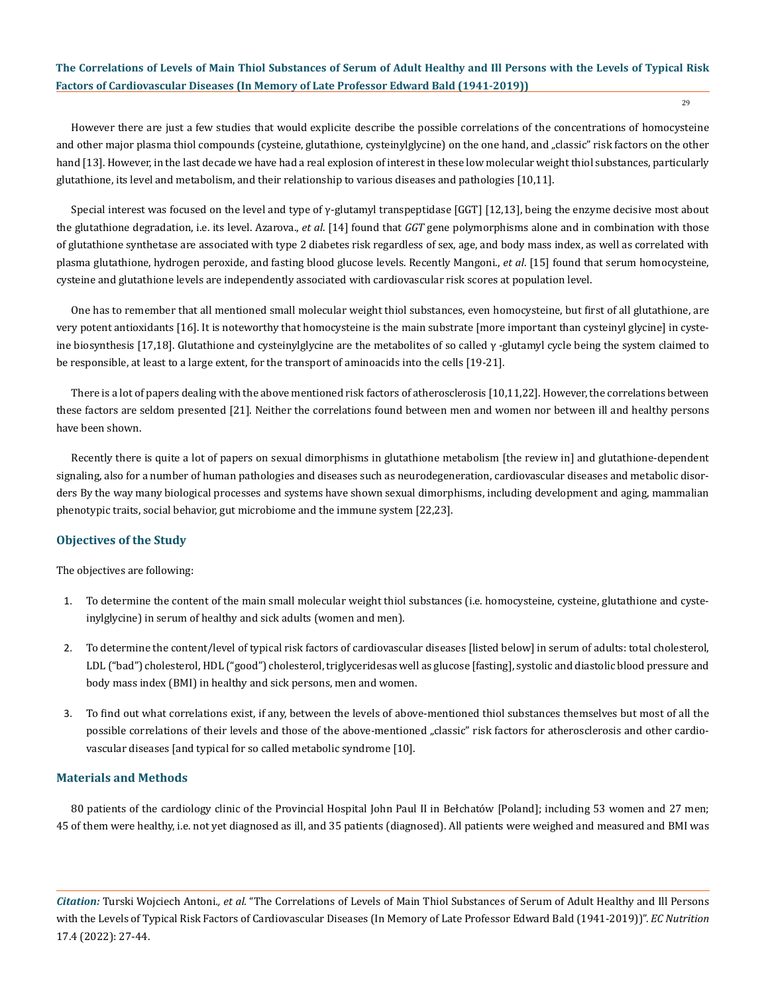However there are just a few studies that would explicite describe the possible correlations of the concentrations of homocysteine and other major plasma thiol compounds (cysteine, glutathione, cysteinylglycine) on the one hand, and "classic" risk factors on the other hand [13]. However, in the last decade we have had a real explosion of interest in these low molecular weight thiol substances, particularly glutathione, its level and metabolism, and their relationship to various diseases and pathologies [10,11].

Special interest was focused on the level and type of  $\gamma$ -glutamyl transpeptidase [GGT] [12,13], being the enzyme decisive most about the glutathione degradation, i.e. its level. Azarova., *et al*. [14] found that *GGT* gene polymorphisms alone and in combination with those of glutathione synthetase are associated with type 2 diabetes risk regardless of sex, age, and body mass index, as well as correlated with plasma glutathione, hydrogen peroxide, and fasting blood glucose levels. Recently Mangoni., *et al*. [15] found that serum homocysteine, cysteine and glutathione levels are independently associated with cardiovascular risk scores at population level.

One has to remember that all mentioned small molecular weight thiol substances, even homocysteine, but first of all glutathione, are very potent antioxidants [16]. It is noteworthy that homocysteine is the main substrate [more important than cysteinyl glycine] in cysteine biosynthesis [17,18]. Glutathione and cysteinylglycine are the metabolites of so called  $\gamma$  -glutamyl cycle being the system claimed to be responsible, at least to a large extent, for the transport of aminoacids into the cells [19-21].

There is a lot of papers dealing with the above mentioned risk factors of atherosclerosis [10,11,22]. However, the correlations between these factors are seldom presented [21]. Neither the correlations found between men and women nor between ill and healthy persons have been shown.

Recently there is quite a lot of papers on sexual dimorphisms in glutathione metabolism [the review in] and glutathione-dependent signaling, also for a number of human pathologies and diseases such as neurodegeneration, cardiovascular diseases and metabolic disorders By the way many biological processes and systems have shown sexual dimorphisms, including development and aging, mammalian phenotypic traits, social behavior, gut microbiome and the immune system [22,23].

#### **Objectives of the Study**

The objectives are following:

- 1. To determine the content of the main small molecular weight thiol substances (i.e. homocysteine, cysteine, glutathione and cysteinylglycine) in serum of healthy and sick adults (women and men).
- 2. To determine the content/level of typical risk factors of cardiovascular diseases [listed below] in serum of adults: total cholesterol, LDL ("bad") cholesterol, HDL ("good") cholesterol, triglyceridesas well as glucose [fasting], systolic and diastolic blood pressure and body mass index (BMI) in healthy and sick persons, men and women.
- 3. To find out what correlations exist, if any, between the levels of above-mentioned thiol substances themselves but most of all the possible correlations of their levels and those of the above-mentioned "classic" risk factors for atherosclerosis and other cardiovascular diseases [and typical for so called metabolic syndrome [10].

#### **Materials and Methods**

80 patients of the cardiology clinic of the Provincial Hospital John Paul II in Bełchatów [Poland]; including 53 women and 27 men; 45 of them were healthy, i.e. not yet diagnosed as ill, and 35 patients (diagnosed). All patients were weighed and measured and BMI was

*Citation:* Turski Wojciech Antoni*., et al.* "The Correlations of Levels of Main Thiol Substances of Serum of Adult Healthy and Ill Persons with the Levels of Typical Risk Factors of Cardiovascular Diseases (In Memory of Late Professor Edward Bald (1941-2019))". *EC Nutrition*  17.4 (2022): 27-44.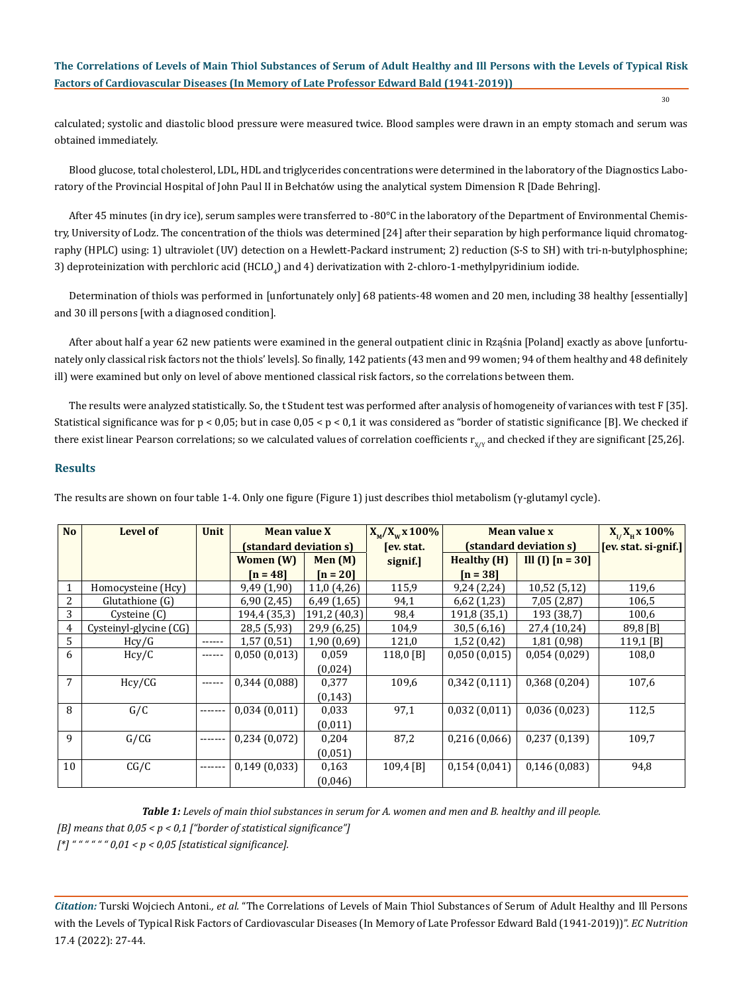calculated; systolic and diastolic blood pressure were measured twice. Blood samples were drawn in an empty stomach and serum was obtained immediately.

Blood glucose, total cholesterol, LDL, HDL and triglycerides concentrations were determined in the laboratory of the Diagnostics Laboratory of the Provincial Hospital of John Paul II in Bełchatów using the analytical system Dimension R [Dade Behring].

After 45 minutes (in dry ice), serum samples were transferred to -80°C in the laboratory of the Department of Environmental Chemistry, University of Lodz. The concentration of the thiols was determined [24] after their separation by high performance liquid chromatography (HPLC) using: 1) ultraviolet (UV) detection on a Hewlett-Packard instrument; 2) reduction (S-S to SH) with tri-n-butylphosphine; 3) deproteinization with perchloric acid (HCLO $_4$ ) and 4) derivatization with 2-chloro-1-methylpyridinium iodide.

Determination of thiols was performed in [unfortunately only] 68 patients-48 women and 20 men, including 38 healthy [essentially] and 30 ill persons [with a diagnosed condition].

After about half a year 62 new patients were examined in the general outpatient clinic in Rząśnia [Poland] exactly as above [unfortunately only classical risk factors not the thiols' levels]. So finally, 142 patients (43 men and 99 women; 94 of them healthy and 48 definitely ill) were examined but only on level of above mentioned classical risk factors, so the correlations between them.

The results were analyzed statistically. So, the t Student test was performed after analysis of homogeneity of variances with test F [35]. Statistical significance was for  $p < 0.05$ ; but in case  $0.05 < p < 0.1$  it was considered as "border of statistic significance [B]. We checked if there exist linear Pearson correlations; so we calculated values of correlation coefficients  $r_{X/Y}$  and checked if they are significant [25,26].

#### **Results**

| <b>No</b>    | Level of               | Unit          | <b>Mean value X</b>    |              | $X_{\rm M}/X_{\rm w} \times 100\%$ | Mean value x           |                    | $X_{1}/X_{\rm H}$ x 100% |
|--------------|------------------------|---------------|------------------------|--------------|------------------------------------|------------------------|--------------------|--------------------------|
|              |                        |               | (standard deviation s) |              | [ev. stat.                         | (standard deviation s) |                    | [ev. stat. si-gnif.]     |
|              |                        |               | Women (W)              | Men $(M)$    | signif.]                           | <b>Healthy</b> (H)     | Ill (I) $[n = 30]$ |                          |
|              |                        |               | $[n = 48]$             | $[n = 20]$   |                                    | $[n = 38]$             |                    |                          |
| 1            | Homocysteine (Hcy)     |               | 9,49(1,90)             | 11,0(4,26)   | 115,9                              | 9,24(2,24)             | 10,52 (5,12)       | 119,6                    |
| 2            | Glutathione (G)        |               | 6,90(2,45)             | 6,49(1,65)   | 94,1                               | $6,62$ (1,23)          | 7,05 (2,87)        | 106,5                    |
| 3            | Cysteine (C)           |               | 194,4 (35,3)           | 191,2 (40,3) | 98,4                               | 191,8 (35,1)           | 193 (38,7)         | 100,6                    |
| 4            | Cysteinyl-glycine (CG) |               | 28,5 (5,93)            | 29,9 (6,25)  | 104,9                              | 30,5(6,16)             | 27,4 (10,24)       | $89,8$ [B]               |
| 5            | Hcy/G                  | $- - - - - -$ | 1,57(0,51)             | 1,90(0,69)   | 121,0                              | 1,52(0,42)             | 1,81 (0,98)        | 119,1 $[B]$              |
| 6            | Hcy/C                  | ------        | 0,050(0,013)           | 0,059        | 118,0 $[B]$                        | 0,050(0,015)           | 0,054(0,029)       | 108,0                    |
|              |                        |               |                        | (0,024)      |                                    |                        |                    |                          |
| 7            | Hcy/CG                 | $- - - - - -$ | 0,344(0,088)           | 0,377        | 109,6                              | 0,342(0,111)           | 0,368(0,204)       | 107,6                    |
|              |                        |               |                        | (0, 143)     |                                    |                        |                    |                          |
| 8            | G/C                    |               | 0,034(0,011)           | 0,033        | 97,1                               | 0,032(0,011)           | 0,036(0,023)       | 112,5                    |
|              |                        |               |                        | (0,011)      |                                    |                        |                    |                          |
| $\mathbf{q}$ | G / CG                 |               | 0,234(0,072)           | 0,204        | 87,2                               | 0,216(0,066)           | 0,237(0,139)       | 109,7                    |
|              |                        |               |                        | (0.051)      |                                    |                        |                    |                          |
| 10           | CG/C                   |               | 0,149(0,033)           | 0,163        | $109,4$ [B]                        | 0,154(0,041)           | 0,146(0,083)       | 94,8                     |
|              |                        |               |                        | (0,046)      |                                    |                        |                    |                          |

The results are shown on four table 1-4. Only one figure (Figure 1) just describes thiol metabolism (γ-glutamyl cycle).

*Table 1: Levels of main thiol substances in serum for A. women and men and B. healthy and ill people.*

 *[B] means that 0,05 < p < 0,1 ["border of statistical significance"]*

 *[\*] " " " " " " 0,01 < p < 0,05 [statistical significance].*

*Citation:* Turski Wojciech Antoni*., et al.* "The Correlations of Levels of Main Thiol Substances of Serum of Adult Healthy and Ill Persons with the Levels of Typical Risk Factors of Cardiovascular Diseases (In Memory of Late Professor Edward Bald (1941-2019))". *EC Nutrition*  17.4 (2022): 27-44.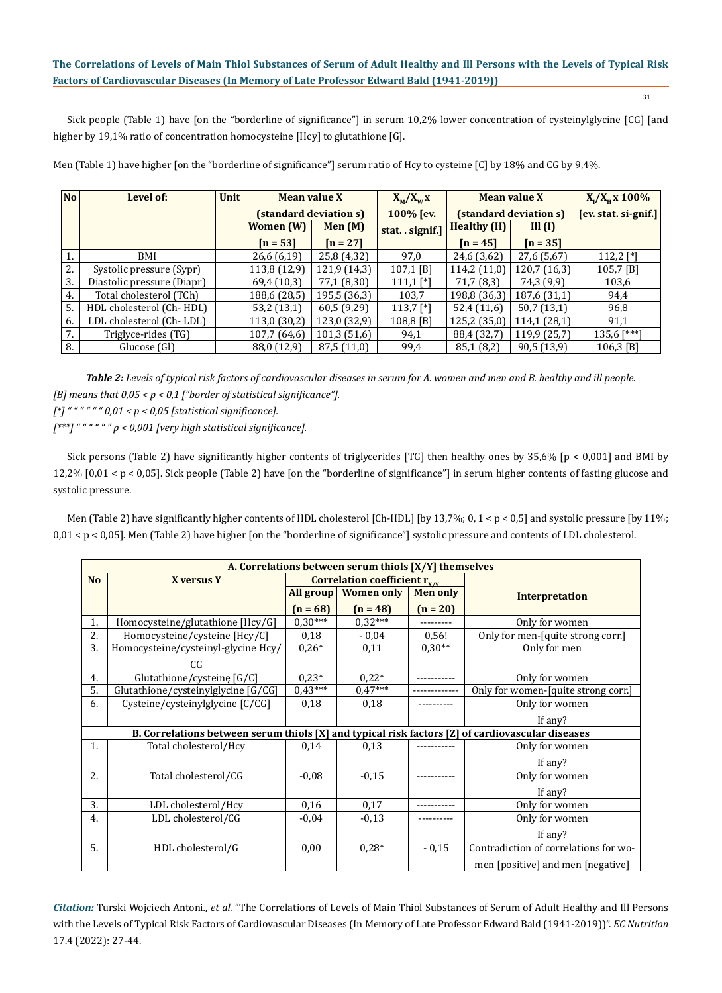31

Sick people (Table 1) have [on the "borderline of significance"] in serum 10,2% lower concentration of cysteinylglycine [CG] [and higher by 19,1% ratio of concentration homocysteine [Hcy] to glutathione [G].

| No | Level of:                  | <b>Unit</b> | <b>Mean value X</b>    |              | $X_{M}/X_{W}$    | <b>Mean value X</b>          | $X_{1}/X_{H}$ x 100% |                      |
|----|----------------------------|-------------|------------------------|--------------|------------------|------------------------------|----------------------|----------------------|
|    |                            |             | (standard deviation s) |              | 100% [ev.        | (standard deviation s)       |                      | [ev. stat. si-gnif.] |
|    |                            |             | Women (W)<br>Men $(M)$ |              | stat. . signif.] | <b>Healthy (H)</b><br>III(I) |                      |                      |
|    |                            |             | $[n = 53]$             | $[n = 27]$   |                  | $[n = 45]$                   | $[n = 35]$           |                      |
| 1. | <b>BMI</b>                 |             | 26,6 (6,19)            | 25,8 (4,32)  | 97,0             | 24,6 (3,62)                  | 27,6 (5,67)          | $112,2$ [*]          |
| 2. | Systolic pressure (Sypr)   |             | 113,8 (12,9)           | 121,9 (14,3) | $107,1$ [B]      | 114,2(11,0)                  | 120,7(16,3)          | 105,7 [B]            |
| 3. | Diastolic pressure (Diapr) |             | 69,4 (10,3)            | 77,1 (8,30)  | $111,1$ [*]      | 71,7 (8,3)                   | 74,3 (9,9)           | 103,6                |
| 4. | Total cholesterol (TCh)    |             | 188,6 (28,5)           | 195,5 (36,3) | 103,7            | 198,8 (36,3)                 | 187,6 (31,1)         | 94,4                 |
| 5. | HDL cholesterol (Ch-HDL)   |             | 53,2 (13,1)            | 60,5 (9,29)  | $113.7$ [*]      | 52,4 (11,6)                  | 50.7(13.1)           | 96,8                 |
| 6. | LDL cholesterol (Ch-LDL)   |             | 113,0 (30,2)           | 123,0 (32,9) | 108,8 [B]        | 125,2(35,0)                  | 114,1 (28,1)         | 91,1                 |
| 7. | Triglyce-rides (TG)        |             | 107,7 (64,6)           | 101,3(51,6)  | 94,1             | 88,4 (32,7)                  | 119,9 (25,7)         | $135,6$ [***]        |
| 8. | Glucose (GI)               |             | 88,0 (12,9)            | 87,5(11,0)   | 99,4             | 85,1 (8,2)                   | 90,5 (13,9)          | $106,3$ [B]          |

Men (Table 1) have higher [on the "borderline of significance"] serum ratio of Hcy to cysteine [C] by 18% and CG by 9,4%.

*Table 2: Levels of typical risk factors of cardiovascular diseases in serum for A. women and men and B. healthy and ill people. [B] means that 0,05 < p < 0,1 ["border of statistical significance"]. [\*] " " " " " " 0,01 < p < 0,05 [statistical significance].*

*[\*\*\*] " " " " " " p < 0,001 [very high statistical significance].*

Sick persons (Table 2) have significantly higher contents of triglycerides [TG] then healthy ones by 35,6% [p < 0,001] and BMI by 12,2% [0,01 < p < 0,05]. Sick people (Table 2) have [on the "borderline of significance"] in serum higher contents of fasting glucose and systolic pressure.

Men (Table 2) have significantly higher contents of HDL cholesterol [Ch-HDL] [by 13,7%;  $0, 1 < p < 0.5$ ] and systolic pressure [by 11%; 0,01 < p < 0,05]. Men (Table 2) have higher [on the "borderline of significance"] systolic pressure and contents of LDL cholesterol.

| A. Correlations between serum thiols [X/Y] themselves                                            |                                     |                                                                                |                   |                 |                                       |  |  |  |  |
|--------------------------------------------------------------------------------------------------|-------------------------------------|--------------------------------------------------------------------------------|-------------------|-----------------|---------------------------------------|--|--|--|--|
| <b>No</b>                                                                                        | X versus Y                          | <b>Correlation coefficient <math>\mathbf{r}_{\mathbf{x}/\mathbf{y}}</math></b> |                   |                 |                                       |  |  |  |  |
|                                                                                                  |                                     | All group                                                                      | <b>Women only</b> | <b>Men only</b> | <b>Interpretation</b>                 |  |  |  |  |
|                                                                                                  |                                     | $(n = 68)$                                                                     | $(n = 48)$        | $(n = 20)$      |                                       |  |  |  |  |
| 1.                                                                                               | Homocysteine/glutathione [Hcy/G]    | $0,30***$                                                                      | $0,32***$         |                 | Only for women                        |  |  |  |  |
| 2.                                                                                               | Homocysteine/cysteine [Hcy/C]       | 0,18                                                                           | $-0.04$           | 0,56!           | Only for men-[quite strong corr.]     |  |  |  |  |
| 3.                                                                                               | Homocysteine/cysteinyl-glycine Hcy/ | $0,26*$                                                                        | 0,11              | $0,30**$        | Only for men                          |  |  |  |  |
|                                                                                                  | CG                                  |                                                                                |                   |                 |                                       |  |  |  |  |
| 4.                                                                                               | Glutathione/cysteinę [G/C]          | $0,23*$                                                                        | $0.22*$           |                 | Only for women                        |  |  |  |  |
| 5.                                                                                               | Glutathione/cysteinylglycine [G/CG] | $0.43***$                                                                      | $0.47***$         |                 | Only for women-[quite strong corr.]   |  |  |  |  |
| 6.                                                                                               | Cysteine/cysteinylglycine [C/CG]    | 0,18                                                                           | 0,18              |                 | Only for women                        |  |  |  |  |
|                                                                                                  |                                     |                                                                                |                   |                 | If any?                               |  |  |  |  |
| B. Correlations between serum thiols [X] and typical risk factors [Z] of cardiovascular diseases |                                     |                                                                                |                   |                 |                                       |  |  |  |  |
| 1.                                                                                               | Total cholesterol/Hcy               | 0.14                                                                           | 0.13              |                 | Only for women                        |  |  |  |  |
|                                                                                                  |                                     |                                                                                |                   |                 | If any?                               |  |  |  |  |
| 2.                                                                                               | Total cholesterol/CG                | $-0.08$                                                                        | $-0.15$           |                 | Only for women                        |  |  |  |  |
|                                                                                                  |                                     |                                                                                |                   |                 | If any?                               |  |  |  |  |
| 3.                                                                                               | LDL cholesterol/Hcy                 | 0,16                                                                           | 0,17              |                 | Only for women                        |  |  |  |  |
| 4.                                                                                               | LDL cholesterol/CG                  | $-0.04$                                                                        | $-0,13$           |                 | Only for women                        |  |  |  |  |
|                                                                                                  |                                     |                                                                                |                   |                 | If any?                               |  |  |  |  |
| 5.                                                                                               | HDL cholesterol/G                   | 0,00                                                                           | $0,28*$           | $-0.15$         | Contradiction of correlations for wo- |  |  |  |  |
|                                                                                                  |                                     |                                                                                |                   |                 | men [positive] and men [negative]     |  |  |  |  |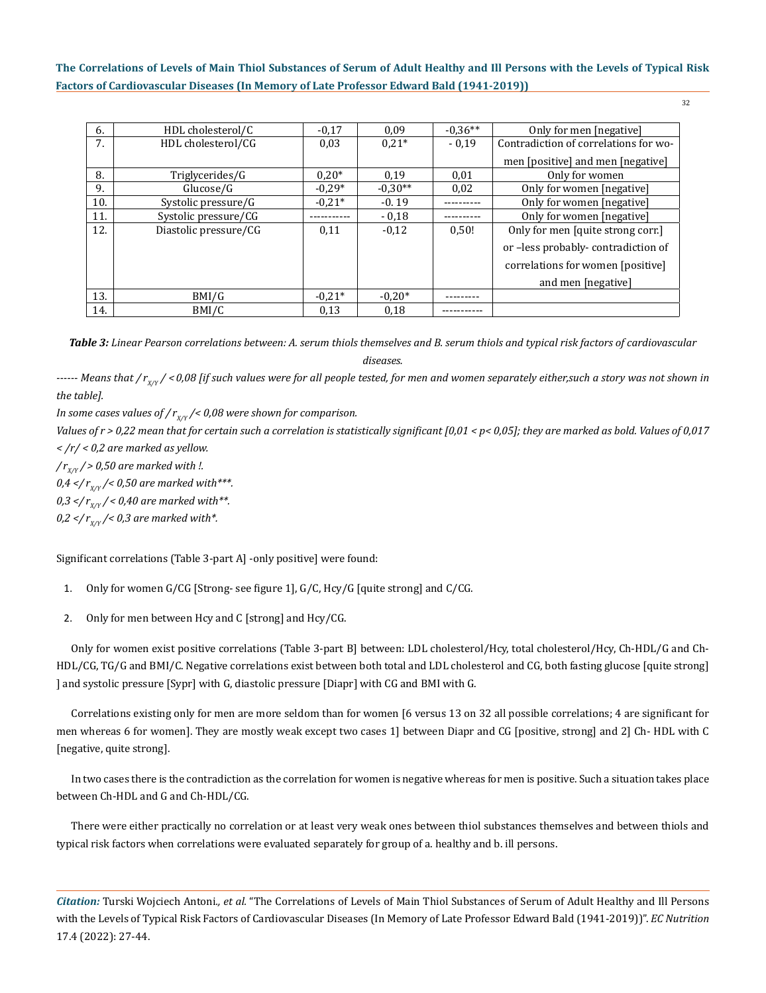| 6.  | HDL cholesterol/C     | $-0.17$  | 0.09      | $-0.36**$ | Only for men [negative]               |
|-----|-----------------------|----------|-----------|-----------|---------------------------------------|
| 7.  | HDL cholesterol/CG    | 0,03     | $0.21*$   | $-0.19$   | Contradiction of correlations for wo- |
|     |                       |          |           |           | men [positive] and men [negative]     |
| 8.  | Triglycerides/G       | $0.20*$  | 0.19      | 0,01      | Only for women                        |
| 9.  | Glucose/G             | $-0.29*$ | $-0.30**$ | 0.02      | Only for women [negative]             |
| 10. | Systolic pressure/G   | $-0.21*$ | $-0.19$   |           | Only for women [negative]             |
| 11. | Systolic pressure/CG  |          | $-0.18$   |           | Only for women [negative]             |
| 12. | Diastolic pressure/CG | 0,11     | $-0,12$   | 0.50!     | Only for men [quite strong corr.]     |
|     |                       |          |           |           | or -less probably-contradiction of    |
|     |                       |          |           |           | correlations for women [positive]     |
|     |                       |          |           |           | and men [negative]                    |
| 13. | BMI/G                 | $-0.21*$ | $-0.20*$  |           |                                       |
| 14. | BMI/C                 | 0,13     | 0.18      |           |                                       |

*Table 3: Linear Pearson correlations between: A. serum thiols themselves and B. serum thiols and typical risk factors of cardiovascular* 

*diseases.*

*------ Means that / r<sub>x/Y</sub> / <0,08 [if such values were for all people tested, for men and women separately either,such a story was not shown in the table].* 

*In some cases values of /*  $r_{X/Y}$ */< 0,08 were shown for comparison.* 

*Values of r > 0,22 mean that for certain such a correlation is statistically significant [0,01 < p< 0,05]; they are marked as bold. Values of 0,017 < /r/ < 0,2 are marked as yellow.*

 $/r_{\text{v}}$  /> 0,50 are marked with !.

0,4 </r<sub>*x<sub>x</sub></sub> /< 0,50 are marked with\*\*\*.*</sub>

0,3 </ $r_{X/Y}$ /< 0,40 are marked with\*\*.

 $0.2 < r_{\text{v}}/c$  /< 0.3 are marked with\*.

Significant correlations (Table 3-part A] -only positive] were found:

- 1. Only for women G/CG [Strong- see figure 1], G/C, Hcy/G [quite strong] and C/CG.
- 2. Only for men between Hcy and C [strong] and Hcy/CG.

Only for women exist positive correlations (Table 3-part B] between: LDL cholesterol/Hcy, total cholesterol/Hcy, Ch-HDL/G and Ch-HDL/CG, TG/G and BMI/C. Negative correlations exist between both total and LDL cholesterol and CG, both fasting glucose [quite strong] ] and systolic pressure [Sypr] with G, diastolic pressure [Diapr] with CG and BMI with G.

Correlations existing only for men are more seldom than for women [6 versus 13 on 32 all possible correlations; 4 are significant for men whereas 6 for women]. They are mostly weak except two cases 1] between Diapr and CG [positive, strong] and 2] Ch- HDL with C [negative, quite strong].

In two cases there is the contradiction as the correlation for women is negative whereas for men is positive. Such a situation takes place between Ch-HDL and G and Ch-HDL/CG.

There were either practically no correlation or at least very weak ones between thiol substances themselves and between thiols and typical risk factors when correlations were evaluated separately for group of a. healthy and b. ill persons.

*Citation:* Turski Wojciech Antoni*., et al.* "The Correlations of Levels of Main Thiol Substances of Serum of Adult Healthy and Ill Persons with the Levels of Typical Risk Factors of Cardiovascular Diseases (In Memory of Late Professor Edward Bald (1941-2019))". *EC Nutrition*  17.4 (2022): 27-44.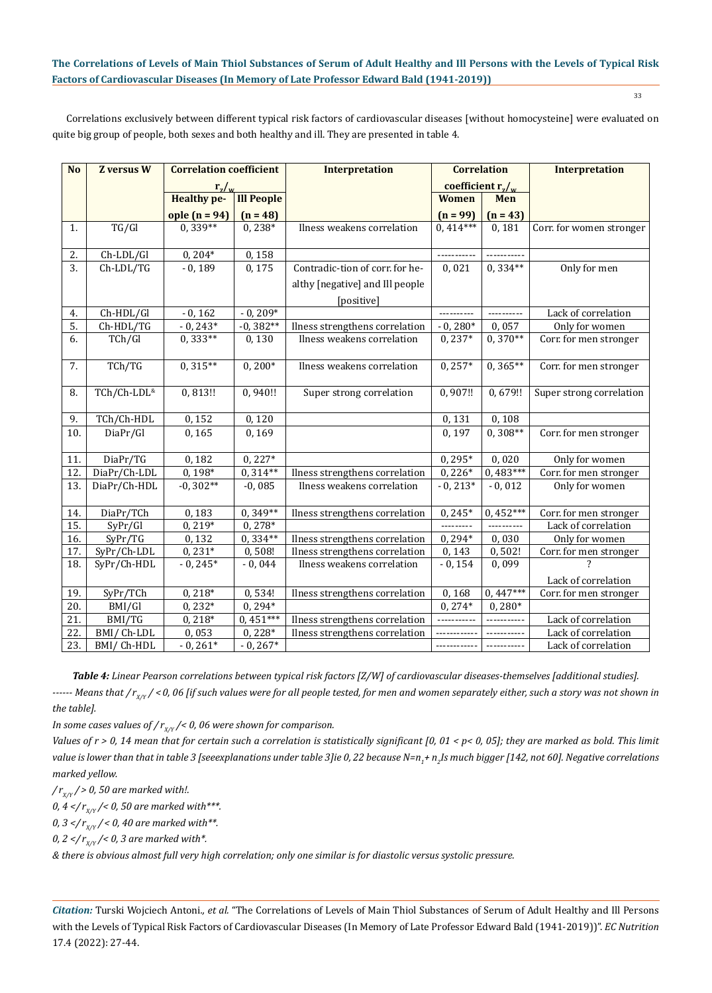Correlations exclusively between different typical risk factors of cardiovascular diseases [without homocysteine] were evaluated on quite big group of people, both sexes and both healthy and ill. They are presented in table 4.

| <b>No</b> | <b>Z</b> versus W<br><b>Correlation coefficient</b> |                                            | <b>Interpretation</b> | <b>Correlation</b>              |                           | <b>Interpretation</b> |                          |
|-----------|-----------------------------------------------------|--------------------------------------------|-----------------------|---------------------------------|---------------------------|-----------------------|--------------------------|
|           |                                                     | $\left.\mathbf{r}_{7}\right/_{\mathbf{w}}$ |                       |                                 | coefficient $r_{\rm z/w}$ |                       |                          |
|           |                                                     | Healthy pe-                                | <b>Ill People</b>     |                                 | <b>Women</b>              | Men                   |                          |
|           |                                                     | ople $(n = 94)$                            | $(n = 48)$            |                                 | $(n = 99)$                | $(n = 43)$            |                          |
| 1.        | TG/Gl                                               | $0,339**$                                  | $0,238*$              | Ilness weakens correlation      | $0,414***$                | 0,181                 | Corr. for women stronger |
|           |                                                     |                                            |                       |                                 |                           |                       |                          |
| 2.        | Ch-LDL/Gl                                           | $0, 204*$                                  | 0,158                 |                                 |                           |                       |                          |
| 3.        | Ch-LDL/TG                                           | $-0,189$                                   | 0,175                 | Contradic-tion of corr. for he- | 0,021                     | $0,334**$             | Only for men             |
|           |                                                     |                                            |                       | althy [negative] and Ill people |                           |                       |                          |
|           |                                                     |                                            |                       | [positive]                      |                           |                       |                          |
| 4.        | Ch-HDL/Gl                                           | $-0, 162$                                  | $-0, 209*$            |                                 | ----------                | ----------            | Lack of correlation      |
| 5.        | Ch-HDL/TG                                           | $-0, 243*$                                 | $-0,382**$            | Ilness strengthens correlation  | $-0,280*$                 | 0,057                 | Only for women           |
| 6.        | TCh/Gl                                              | $0,333**$                                  | 0,130                 | Ilness weakens correlation      | $0,237*$                  | $0,370**$             | Corr. for men stronger   |
|           |                                                     |                                            |                       |                                 |                           |                       |                          |
| 7.        | TCh/TG                                              | $0,315**$                                  | $0, 200*$             | Ilness weakens correlation      | $0,257*$                  | $0,365**$             | Corr. for men stronger   |
|           |                                                     |                                            |                       |                                 |                           |                       |                          |
| 8.        | TCh/Ch-LDL <sup>&amp;</sup>                         | 0,813!!                                    | 0,940!!               | Super strong correlation        | 0,907!!                   | 0,679!!               | Super strong correlation |
|           |                                                     |                                            |                       |                                 |                           |                       |                          |
| 9.        | TCh/Ch-HDL                                          | 0,152                                      | 0,120                 |                                 | 0,131                     | 0,108                 |                          |
| 10.       | DiaPr/Gl                                            | 0,165                                      | 0,169                 |                                 | 0,197                     | $0,308**$             | Corr. for men stronger   |
|           |                                                     |                                            |                       |                                 |                           |                       |                          |
| 11.       | DiaPr/TG                                            | 0,182                                      | $0,227*$              |                                 | $0,295*$                  | 0,020                 | Only for women           |
| 12.       | DiaPr/Ch-LDL                                        | $0,198*$                                   | $0,314**$             | Ilness strengthens correlation  | $0,226*$                  | $0,483***$            | Corr. for men stronger   |
| 13.       | DiaPr/Ch-HDL                                        | $-0,302**$                                 | $-0,085$              | Ilness weakens correlation      | $-0,213*$                 | $-0,012$              | Only for women           |
|           |                                                     |                                            |                       |                                 |                           |                       |                          |
| 14.       | DiaPr/TCh                                           | 0,183                                      | $0,349**$             | Ilness strengthens correlation  | $0, 245*$                 | $0,452***$            | Corr. for men stronger   |
| 15.       | SyPr/Gl                                             | $0,219*$                                   | $0,278*$              |                                 | ---------                 | ----------            | Lack of correlation      |
| 16.       | SyPr/TG                                             | 0,132                                      | $0,334**$             | Ilness strengthens correlation  | $0, 294*$                 | 0,030                 | Only for women           |
| 17.       | SyPr/Ch-LDL                                         | $0,231*$                                   | 0,508!                | Ilness strengthens correlation  | 0,143                     | 0,502!                | Corr. for men stronger   |
| 18.       | SyPr/Ch-HDL                                         | $-0, 245*$                                 | $-0,044$              | Ilness weakens correlation      | $-0, 154$                 | 0,099                 |                          |
|           |                                                     |                                            |                       |                                 |                           |                       | Lack of correlation      |
| 19.       | SyPr/TCh                                            | $0,218*$                                   | 0,534!                | Ilness strengthens correlation  | 0,168                     | $0,447***$            | Corr. for men stronger   |
| 20.       | BMI/Gl                                              | $0,232*$                                   | $0, 294*$             |                                 | $0,274*$                  | $0,280*$              |                          |
| 21.       | BMI/TG                                              | $0,218*$                                   | $0,451***$            | Ilness strengthens correlation  | -----------               | -----------           | Lack of correlation      |
| 22.       | BMI/Ch-LDL                                          | 0,053                                      | $0,228*$              | Ilness strengthens correlation  |                           |                       | Lack of correlation      |
| 23.       | BMI/Ch-HDL                                          | $-0, 261*$                                 | $-0, 267*$            |                                 |                           |                       | Lack of correlation      |

*Table 4: Linear Pearson correlations between typical risk factors [Z/W] of cardiovascular diseases-themselves [additional studies]. ------ Means that / rX/Y / <0, 06 [if such values were for all people tested, for men and women separately either, such a story was not shown in the table].* 

*In some cases values of / r<sub><i>X/Y</sub>* /< 0, 06 were shown for comparison.</sub>

*Values of r > 0, 14 mean that for certain such a correlation is statistically significant [0, 01 < p< 0, 05]; they are marked as bold. This limit value is lower than that in table 3 [seeexplanations under table 3]ie 0, 22 because N=n<sup>1</sup> + n<sup>2</sup> Is much bigger [142, not 60]. Negative correlations marked yellow.* 

 $/r_{X/Y}$  / > 0, 50 are marked with!.

0,  $4 < r_{X/Y}$  /< 0, 50 are marked with\*\*\*.

0,  $3 < r_{X/Y}$  / < 0, 40 are marked with\*\*.

0, 2 </r $r_{X/Y}$ /< 0, 3 are marked with\*.

*& there is obvious almost full very high correlation; only one similar is for diastolic versus systolic pressure.* 

*Citation:* Turski Wojciech Antoni*., et al.* "The Correlations of Levels of Main Thiol Substances of Serum of Adult Healthy and Ill Persons with the Levels of Typical Risk Factors of Cardiovascular Diseases (In Memory of Late Professor Edward Bald (1941-2019))". *EC Nutrition*  17.4 (2022): 27-44.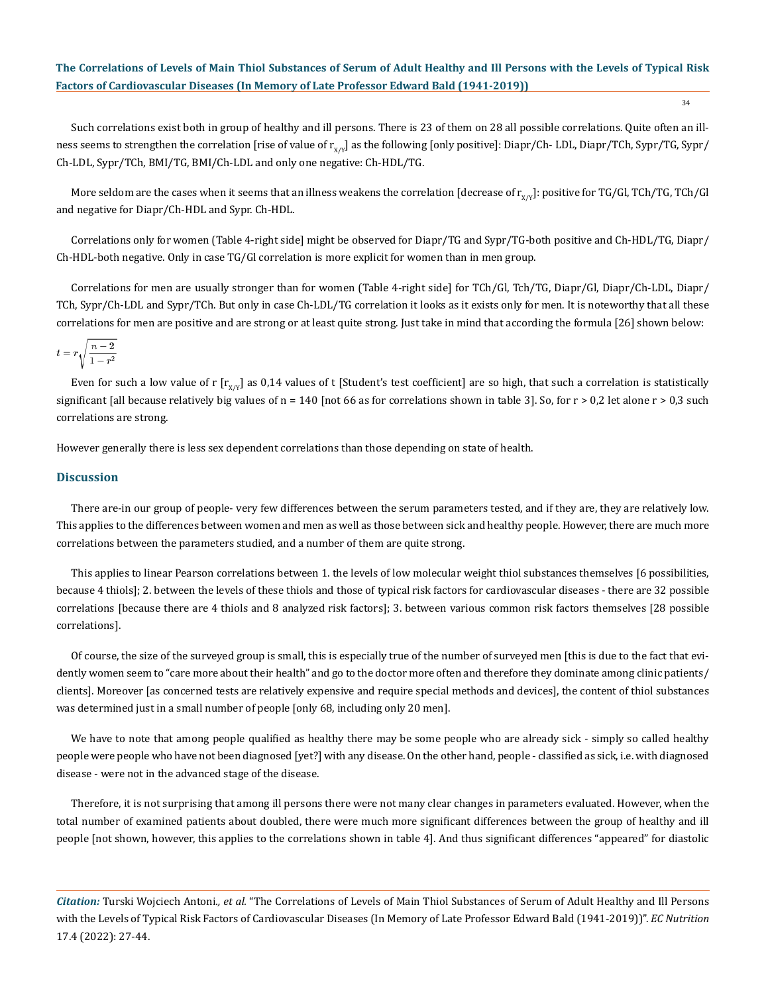Such correlations exist both in group of healthy and ill persons. There is 23 of them on 28 all possible correlations. Quite often an illness seems to strengthen the correlation [rise of value of  $r_{X/N}$ ] as the following [only positive]: Diapr/Ch- LDL, Diapr/TCh, Sypr/TG, Sypr/ Ch-LDL, Sypr/TCh, BMI/TG, BMI/Ch-LDL and only one negative: Ch-HDL/TG.

More seldom are the cases when it seems that an illness weakens the correlation [decrease of  $r_{x/y}$ ]: positive for TG/Gl, TCh/TG, TCh/Gl and negative for Diapr/Ch-HDL and Sypr. Ch-HDL.

Correlations only for women (Table 4-right side] might be observed for Diapr/TG and Sypr/TG-both positive and Ch-HDL/TG, Diapr/ Ch-HDL-both negative. Only in case TG/Gl correlation is more explicit for women than in men group.

Correlations for men are usually stronger than for women (Table 4-right side] for TCh/Gl, Tch/TG, Diapr/Gl, Diapr/Ch-LDL, Diapr/ TCh, Sypr/Ch-LDL and Sypr/TCh. But only in case Ch-LDL/TG correlation it looks as it exists only for men. It is noteworthy that all these correlations for men are positive and are strong or at least quite strong. Just take in mind that according the formula [26] shown below:

$$
t=r\sqrt{\frac{n-2}{1-r^2}}
$$

Even for such a low value of r  $[r_{XY}]$  as 0,14 values of t [Student's test coefficient] are so high, that such a correlation is statistically significant [all because relatively big values of  $n = 140$  [not 66 as for correlations shown in table 3]. So, for  $r > 0.2$  let alone  $r > 0.3$  such correlations are strong.

However generally there is less sex dependent correlations than those depending on state of health.

#### **Discussion**

There are-in our group of people- very few differences between the serum parameters tested, and if they are, they are relatively low. This applies to the differences between women and men as well as those between sick and healthy people. However, there are much more correlations between the parameters studied, and a number of them are quite strong.

This applies to linear Pearson correlations between 1. the levels of low molecular weight thiol substances themselves [6 possibilities, because 4 thiols]; 2. between the levels of these thiols and those of typical risk factors for cardiovascular diseases - there are 32 possible correlations [because there are 4 thiols and 8 analyzed risk factors]; 3. between various common risk factors themselves [28 possible correlations].

Of course, the size of the surveyed group is small, this is especially true of the number of surveyed men [this is due to the fact that evidently women seem to "care more about their health" and go to the doctor more often and therefore they dominate among clinic patients/ clients]. Moreover [as concerned tests are relatively expensive and require special methods and devices], the content of thiol substances was determined just in a small number of people [only 68, including only 20 men].

We have to note that among people qualified as healthy there may be some people who are already sick - simply so called healthy people were people who have not been diagnosed [yet?] with any disease. On the other hand, people - classified as sick, i.e. with diagnosed disease - were not in the advanced stage of the disease.

Therefore, it is not surprising that among ill persons there were not many clear changes in parameters evaluated. However, when the total number of examined patients about doubled, there were much more significant differences between the group of healthy and ill people [not shown, however, this applies to the correlations shown in table 4]. And thus significant differences "appeared" for diastolic

*Citation:* Turski Wojciech Antoni*., et al.* "The Correlations of Levels of Main Thiol Substances of Serum of Adult Healthy and Ill Persons with the Levels of Typical Risk Factors of Cardiovascular Diseases (In Memory of Late Professor Edward Bald (1941-2019))". *EC Nutrition*  17.4 (2022): 27-44.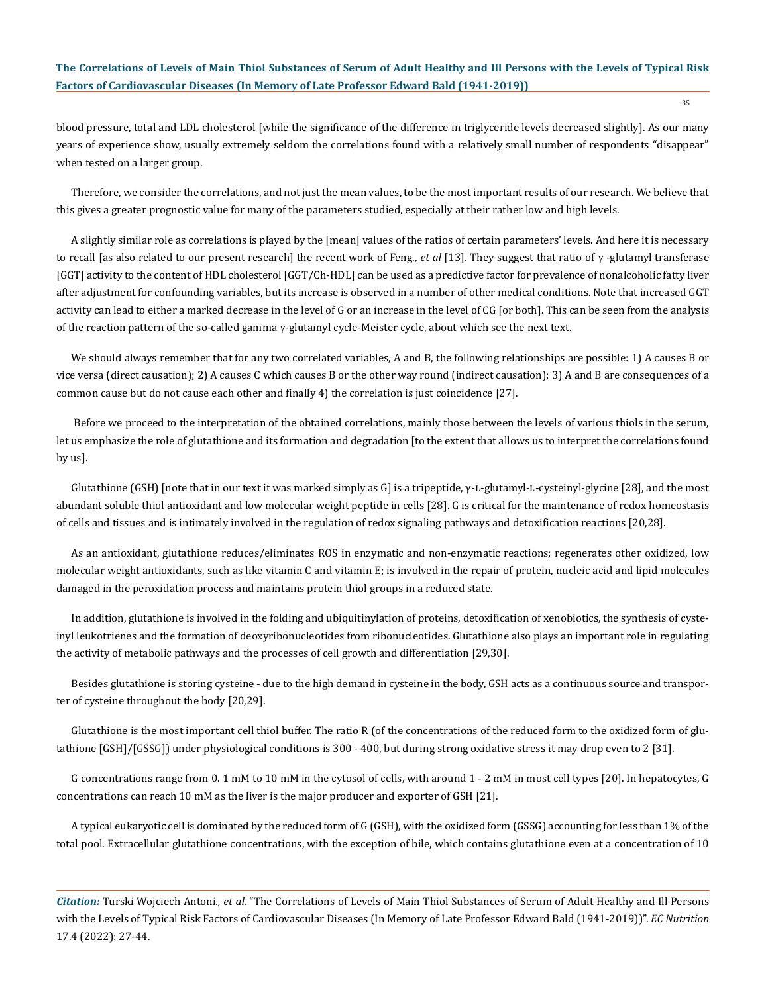blood pressure, total and LDL cholesterol [while the significance of the difference in triglyceride levels decreased slightly]. As our many years of experience show, usually extremely seldom the correlations found with a relatively small number of respondents "disappear" when tested on a larger group.

Therefore, we consider the correlations, and not just the mean values, to be the most important results of our research. We believe that this gives a greater prognostic value for many of the parameters studied, especially at their rather low and high levels.

A slightly similar role as correlations is played by the [mean] values of the ratios of certain parameters' levels. And here it is necessary to recall [as also related to our present research] the recent work of Feng., *et al* [13]. They suggest that ratio of γ -glutamyl transferase [GGT] activity to the content of HDL cholesterol [GGT/Ch-HDL] can be used as a predictive factor for prevalence of nonalcoholic fatty liver after adjustment for confounding variables, but its increase is observed in a number of other medical conditions. Note that increased GGT activity can lead to either a marked decrease in the level of G or an increase in the level of CG [or both]. This can be seen from the analysis of the reaction pattern of the so-called gamma γ-glutamyl cycle-Meister cycle, about which see the next text.

We should always remember that for any two correlated variables, A and B, the following relationships are possible: 1) A causes B or vice versa (direct causation); 2) A causes C which causes B or the other way round (indirect causation); 3) A and B are consequences of a common cause but do not cause each other and finally 4) the correlation is just coincidence [27].

 Before we proceed to the interpretation of the obtained correlations, mainly those between the levels of various thiols in the serum, let us emphasize the role of glutathione and its formation and degradation [to the extent that allows us to interpret the correlations found by us].

Glutathione (GSH) [note that in our text it was marked simply as G] is a tripeptide, γ-l-glutamyl-l-cysteinyl-glycine [28], and the most abundant soluble thiol antioxidant and low molecular weight peptide in cells [28]. G is critical for the maintenance of redox homeostasis of cells and tissues and is intimately involved in the regulation of redox signaling pathways and detoxification reactions [20,28].

As an antioxidant, glutathione reduces/eliminates ROS in enzymatic and non-enzymatic reactions; regenerates other oxidized, low molecular weight antioxidants, such as like vitamin C and vitamin E; is involved in the repair of protein, nucleic acid and lipid molecules damaged in the peroxidation process and maintains protein thiol groups in a reduced state.

In addition, glutathione is involved in the folding and ubiquitinylation of proteins, detoxification of xenobiotics, the synthesis of cysteinyl leukotrienes and the formation of deoxyribonucleotides from ribonucleotides. Glutathione also plays an important role in regulating the activity of metabolic pathways and the processes of cell growth and differentiation [29,30].

Besides glutathione is storing cysteine - due to the high demand in cysteine in the body, GSH acts as a continuous source and transporter of cysteine throughout the body [20,29].

Glutathione is the most important cell thiol buffer. The ratio R (of the concentrations of the reduced form to the oxidized form of glutathione [GSH]/[GSSG]) under physiological conditions is 300 - 400, but during strong oxidative stress it may drop even to 2 [31].

G concentrations range from 0. 1 mM to 10 mM in the cytosol of cells, with around 1 - 2 mM in most cell types [20]. In hepatocytes, G concentrations can reach 10 mM as the liver is the major producer and exporter of GSH [21].

A typical eukaryotic cell is dominated by the reduced form of G (GSH), with the oxidized form (GSSG) accounting for less than 1% of the total pool. Extracellular glutathione concentrations, with the exception of bile, which contains glutathione even at a concentration of 10

*Citation:* Turski Wojciech Antoni*., et al.* "The Correlations of Levels of Main Thiol Substances of Serum of Adult Healthy and Ill Persons with the Levels of Typical Risk Factors of Cardiovascular Diseases (In Memory of Late Professor Edward Bald (1941-2019))". *EC Nutrition*  17.4 (2022): 27-44.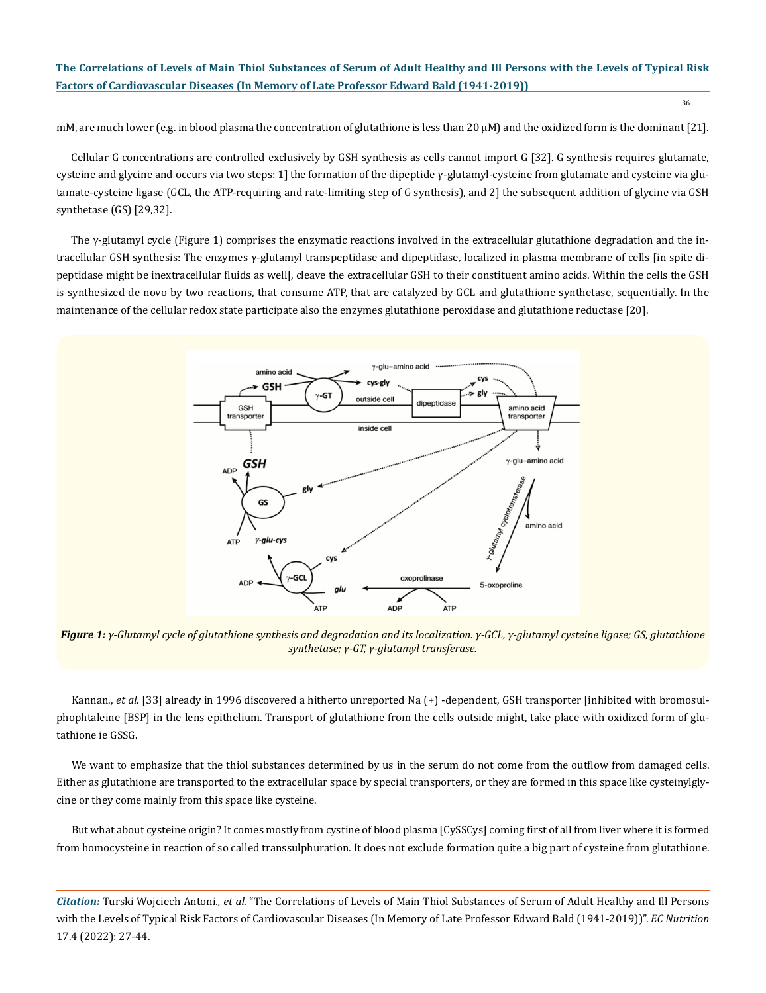36

mM, are much lower (e.g. in blood plasma the concentration of glutathione is less than 20 μM) and the oxidized form is the dominant [21].

Cellular G concentrations are controlled exclusively by GSH synthesis as cells cannot import G [32]. G synthesis requires glutamate, cysteine and glycine and occurs via two steps: 1] the formation of the dipeptide γ-glutamyl-cysteine from glutamate and cysteine via glutamate-cysteine ligase (GCL, the ATP-requiring and rate-limiting step of G synthesis), and 2] the subsequent addition of glycine via GSH synthetase (GS) [29,32].

The γ-glutamyl cycle (Figure 1) comprises the enzymatic reactions involved in the extracellular glutathione degradation and the intracellular GSH synthesis: The enzymes γ-glutamyl transpeptidase and dipeptidase, localized in plasma membrane of cells [in spite dipeptidase might be inextracellular fluids as well], cleave the extracellular GSH to their constituent amino acids. Within the cells the GSH is synthesized de novo by two reactions, that consume ATP, that are catalyzed by GCL and glutathione synthetase, sequentially. In the maintenance of the cellular redox state participate also the enzymes glutathione peroxidase and glutathione reductase [20].



*Figure 1: γ-Glutamyl cycle of glutathione synthesis and degradation and its localization. γ-GCL, γ-glutamyl cysteine ligase; GS, glutathione synthetase; γ-GT, γ-glutamyl transferase.*

Kannan., *et al*. [33] already in 1996 discovered a hitherto unreported Na (+) -dependent, GSH transporter [inhibited with bromosulphophtaleine [BSP] in the lens epithelium. Transport of glutathione from the cells outside might, take place with oxidized form of glutathione ie GSSG.

We want to emphasize that the thiol substances determined by us in the serum do not come from the outflow from damaged cells. Either as glutathione are transported to the extracellular space by special transporters, or they are formed in this space like cysteinylglycine or they come mainly from this space like cysteine.

But what about cysteine origin? It comes mostly from cystine of blood plasma [CySSCys] coming first of all from liver where it is formed from homocysteine in reaction of so called transsulphuration. It does not exclude formation quite a big part of cysteine from glutathione.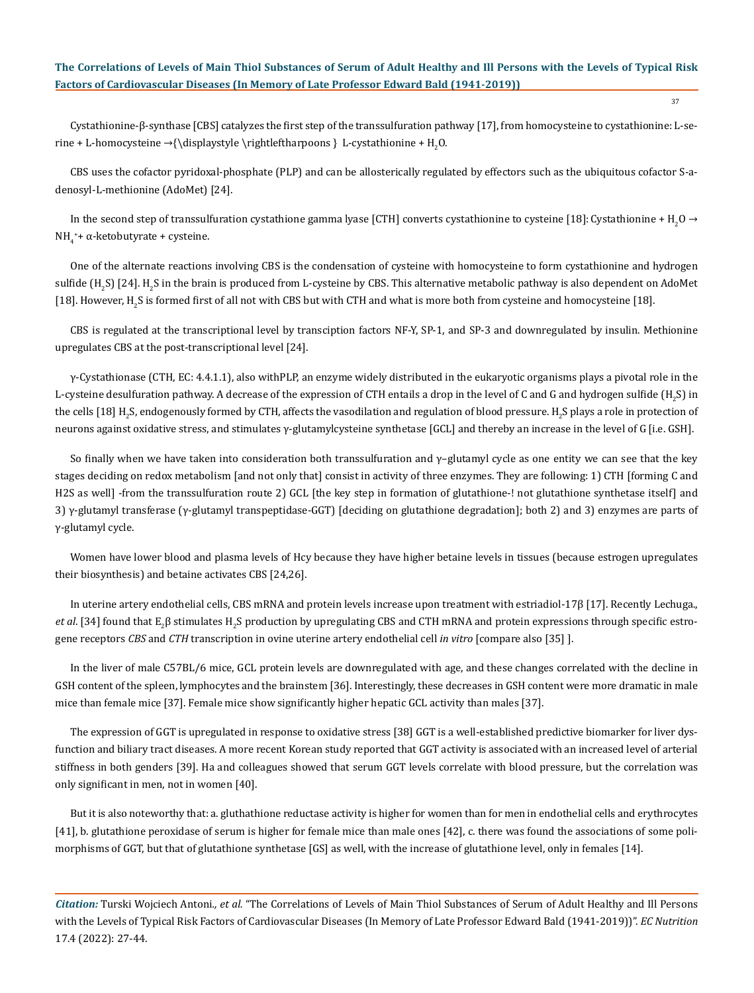Cystathionine-β-synthase [CBS] catalyzes the first step of the transsulfuration pathway [17], from homocysteine to cystathionine: L-serine + L-homocysteine →{\displaystyle \rightleftharpoons } L-cystathionine + H<sub>2</sub>O.

CBS uses the cofactor pyridoxal-phosphate (PLP) and can be allosterically regulated by effectors such as the ubiquitous cofactor S-adenosyl-L-methionine (AdoMet) [24].

In the second step of transsulfuration cystathione gamma lyase [CTH] converts cystathionine to cysteine [18]: Cystathionine + H<sub>2</sub>O  $\rightarrow$ NH $_4^+$ + α-ketobutyrate + cysteine.

One of the alternate reactions involving CBS is the condensation of cysteine with homocysteine to form cystathionine and hydrogen sulfide (H<sub>2</sub>S) [24]. H<sub>2</sub>S in the brain is produced from L-cysteine by CBS. This alternative metabolic pathway is also dependent on AdoMet [18]. However, H<sub>2</sub>S is formed first of all not with CBS but with CTH and what is more both from cysteine and homocysteine [18].

CBS is regulated at the transcriptional level by transciption factors NF-Y, SP-1, and SP-3 and downregulated by insulin. Methionine upregulates CBS at the post-transcriptional level [24].

γ-Cystathionase (CTH, EC: 4.4.1.1), also withPLP, an enzyme widely distributed in the eukaryotic organisms plays a pivotal role in the L-cysteine desulfuration pathway. A decrease of the expression of CTH entails a drop in the level of C and G and hydrogen sulfide (H<sub>2</sub>S) in the cells [18] H<sub>2</sub>S, endogenously formed by CTH, affects the vasodilation and regulation of blood pressure. H<sub>2</sub>S plays a role in protection of neurons against oxidative stress, and stimulates γ-glutamylcysteine synthetase [GCL] and thereby an increase in the level of G [i.e. GSH].

So finally when we have taken into consideration both transsulfuration and  $\gamma$ -glutamyl cycle as one entity we can see that the key stages deciding on redox metabolism [and not only that] consist in activity of three enzymes. They are following: 1) CTH [forming C and H2S as well] -from the transsulfuration route 2) GCL [the key step in formation of glutathione-! not glutathione synthetase itself] and 3) γ-glutamyl transferase (γ-glutamyl transpeptidase-GGT) [deciding on glutathione degradation]; both 2) and 3) enzymes are parts of γ-glutamyl cycle.

Women have lower blood and plasma levels of Hcy because they have higher betaine levels in tissues (because estrogen upregulates their biosynthesis) and betaine activates CBS [24,26].

In uterine artery endothelial cells, CBS mRNA and protein levels increase upon treatment with estriadiol-17β [17]. Recently Lechuga., *et al*. [34] found that E<sub>2</sub>ß stimulates H<sub>2</sub>S production by upregulating CBS and CTH mRNA and protein expressions through specific estrogene receptors *CBS* and *CTH* transcription in ovine uterine artery endothelial cell *in vitro* [compare also [35] ].

In the liver of male C57BL/6 mice, GCL protein levels are downregulated with age, and these changes correlated with the decline in GSH content of the spleen, lymphocytes and the brainstem [36]. Interestingly, these decreases in GSH content were more dramatic in male mice than female mice [37]. Female mice show significantly higher hepatic GCL activity than males [37].

The expression of GGT is upregulated in response to oxidative stress [38] GGT is a well-established predictive biomarker for liver dysfunction and biliary tract diseases. A more recent Korean study reported that GGT activity is associated with an increased level of arterial stiffness in both genders [39]. Ha and colleagues showed that serum GGT levels correlate with blood pressure, but the correlation was only significant in men, not in women [40].

But it is also noteworthy that: a. gluthathione reductase activity is higher for women than for men in endothelial cells and erythrocytes [41], b. glutathione peroxidase of serum is higher for female mice than male ones [42], c. there was found the associations of some polimorphisms of GGT, but that of glutathione synthetase [GS] as well, with the increase of glutathione level, only in females [14].

*Citation:* Turski Wojciech Antoni*., et al.* "The Correlations of Levels of Main Thiol Substances of Serum of Adult Healthy and Ill Persons with the Levels of Typical Risk Factors of Cardiovascular Diseases (In Memory of Late Professor Edward Bald (1941-2019))". *EC Nutrition*  17.4 (2022): 27-44.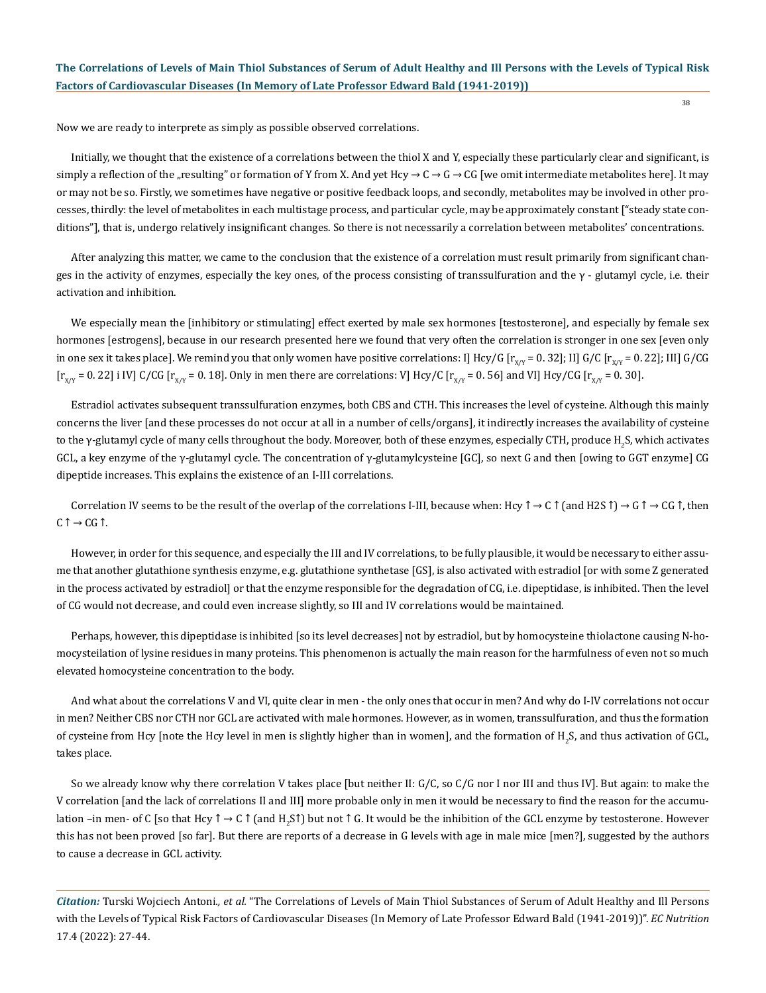Now we are ready to interprete as simply as possible observed correlations.

Initially, we thought that the existence of a correlations between the thiol X and Y, especially these particularly clear and significant, is simply a reflection of the "resulting" or formation of Y from X. And yet Hcy  $\rightarrow C \rightarrow G \rightarrow CG$  [we omit intermediate metabolites here]. It may or may not be so. Firstly, we sometimes have negative or positive feedback loops, and secondly, metabolites may be involved in other processes, thirdly: the level of metabolites in each multistage process, and particular cycle, may be approximately constant ["steady state conditions"], that is, undergo relatively insignificant changes. So there is not necessarily a correlation between metabolites' concentrations.

After analyzing this matter, we came to the conclusion that the existence of a correlation must result primarily from significant changes in the activity of enzymes, especially the key ones, of the process consisting of transsulfuration and the  $\gamma$  - glutamyl cycle, i.e. their activation and inhibition.

We especially mean the [inhibitory or stimulating] effect exerted by male sex hormones [testosterone], and especially by female sex hormones [estrogens], because in our research presented here we found that very often the correlation is stronger in one sex [even only in one sex it takes place]. We remind you that only women have positive correlations: I] Hcy/G [ $r_{X,Y}$  = 0. 32]; II] G/C [ $r_{X,Y}$  = 0. 22]; III] G/CG  $[r_{X/Y} = 0.22]$  i IV] C/CG  $[r_{X/Y} = 0.18]$ . Only in men there are correlations: V] Hcy/C  $[r_{X/Y} = 0.56]$  and VI] Hcy/CG  $[r_{X/Y} = 0.30]$ .

Estradiol activates subsequent transsulfuration enzymes, both CBS and CTH. This increases the level of cysteine. Although this mainly concerns the liver [and these processes do not occur at all in a number of cells/organs], it indirectly increases the availability of cysteine to the γ-glutamyl cycle of many cells throughout the body. Moreover, both of these enzymes, especially CTH, produce H<sub>2</sub>S, which activates GCL, a key enzyme of the γ-glutamyl cycle. The concentration of γ-glutamylcysteine [GC], so next G and then [owing to GGT enzyme] CG dipeptide increases. This explains the existence of an I-III correlations.

Correlation IV seems to be the result of the overlap of the correlations I-III, because when: Hcy  $\uparrow \rightarrow C \uparrow$  (and H2S  $\uparrow \rightarrow G \uparrow \rightarrow C G \uparrow$ , then  $C \uparrow \rightarrow CG \uparrow$ .

However, in order for this sequence, and especially the III and IV correlations, to be fully plausible, it would be necessary to either assume that another glutathione synthesis enzyme, e.g. glutathione synthetase [GS], is also activated with estradiol [or with some Z generated in the process activated by estradiol] or that the enzyme responsible for the degradation of CG, i.e. dipeptidase, is inhibited. Then the level of CG would not decrease, and could even increase slightly, so III and IV correlations would be maintained.

Perhaps, however, this dipeptidase is inhibited [so its level decreases] not by estradiol, but by homocysteine thiolactone causing N-homocysteilation of lysine residues in many proteins. This phenomenon is actually the main reason for the harmfulness of even not so much elevated homocysteine concentration to the body.

And what about the correlations V and VI, quite clear in men - the only ones that occur in men? And why do I-IV correlations not occur in men? Neither CBS nor CTH nor GCL are activated with male hormones. However, as in women, transsulfuration, and thus the formation of cysteine from Hcy [note the Hcy level in men is slightly higher than in women], and the formation of H<sub>2</sub>S, and thus activation of GCL, takes place.

So we already know why there correlation V takes place [but neither II: G/C, so C/G nor I nor III and thus IV]. But again: to make the V correlation [and the lack of correlations II and III] more probable only in men it would be necessary to find the reason for the accumulation –in men- of C [so that Hcy ↑  $\to$  C ↑ (and H<sub>2</sub>ST) but not ↑ G. It would be the inhibition of the GCL enzyme by testosterone. However this has not been proved [so far]. But there are reports of a decrease in G levels with age in male mice [men?], suggested by the authors to cause a decrease in GCL activity.

*Citation:* Turski Wojciech Antoni*., et al.* "The Correlations of Levels of Main Thiol Substances of Serum of Adult Healthy and Ill Persons with the Levels of Typical Risk Factors of Cardiovascular Diseases (In Memory of Late Professor Edward Bald (1941-2019))". *EC Nutrition*  17.4 (2022): 27-44.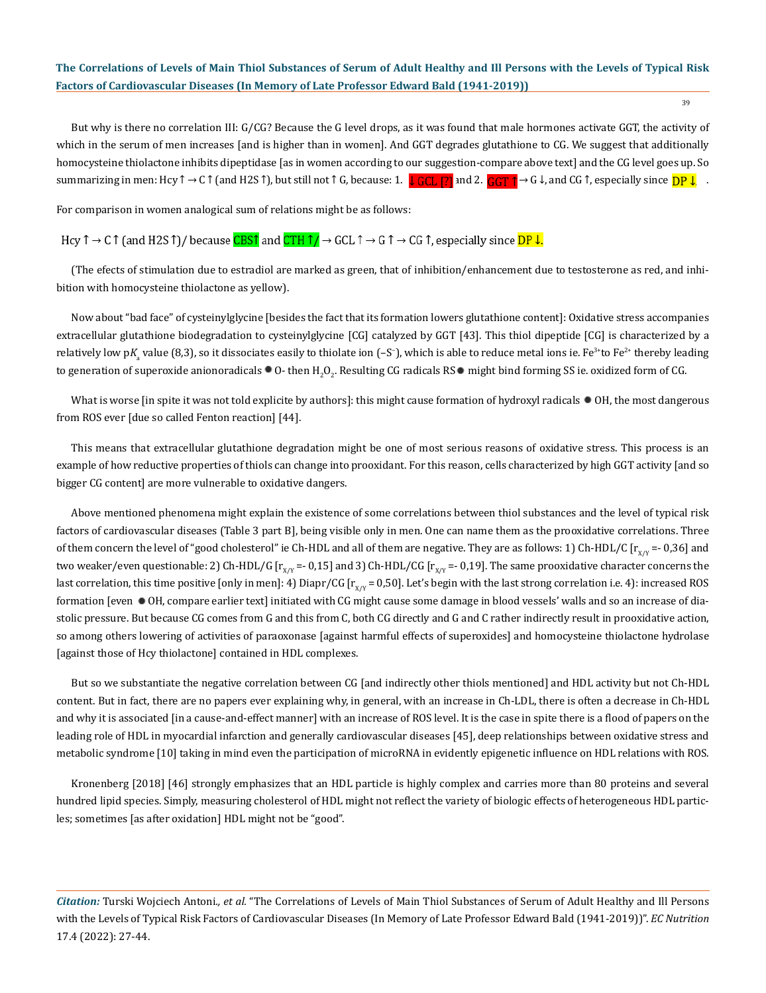But why is there no correlation III: G/CG? Because the G level drops, as it was found that male hormones activate GGT, the activity of which in the serum of men increases [and is higher than in women]. And GGT degrades glutathione to CG. We suggest that additionally homocysteine thiolactone inhibits dipeptidase [as in women according to our suggestion-compare above text] and the CG level goes up. So summarizing in men: Hcy ↑ → C ↑ (and H2S ↑), but still not ↑ G, because: 1.  $\lfloor \frac{\text{GCL}}{\text{GCL}} \rfloor$  and 2.  $\frac{\text{GGT}}{\text{GCL}} \rightarrow$  G ↓, and CG ↑, especially since  $\frac{\text{DP}}{\text{L}}$ .

For comparison in women analogical sum of relations might be as follows:

Hcy  $\uparrow \to C \uparrow$  (and H2S  $\uparrow$ )/ because CBS $\uparrow$  and CTH  $\uparrow$ /  $\to$  GCL  $\uparrow \to G \uparrow \to C G \uparrow$ , especially since DP  $\downarrow$ .

(The efects of stimulation due to estradiol are marked as green, that of inhibition/enhancement due to testosterone as red, and inhibition with homocysteine thiolactone as yellow).

Now about "bad face" of cysteinylglycine [besides the fact that its formation lowers glutathione content]: Oxidative stress accompanies extracellular glutathione biodegradation to cysteinylglycine [CG] catalyzed by GGT [43]. This thiol dipeptide [CG] is characterized by a relatively low pK<sub>a</sub> value (8,3), so it dissociates easily to thiolate ion (−S<sup>-</sup>), which is able to reduce metal ions ie. Fe<sup>3</sup>\*to Fe<sup>2+</sup> thereby leading to generation of superoxide anionoradicals  $\bullet$  O- then  $\rm H_2O_2$ . Resulting CG radicals RS  $\bullet$  might bind forming SS ie. oxidized form of CG.

What is worse [in spite it was not told explicite by authors]: this might cause formation of hydroxyl radicals  $\bullet$  OH, the most dangerous from ROS ever [due so called Fenton reaction] [44].

This means that extracellular glutathione degradation might be one of most serious reasons of oxidative stress. This process is an example of how reductive properties of thiols can change into prooxidant. For this reason, cells characterized by high GGT activity [and so bigger CG content] are more vulnerable to oxidative dangers.

Above mentioned phenomena might explain the existence of some correlations between thiol substances and the level of typical risk factors of cardiovascular diseases (Table 3 part B], being visible only in men. One can name them as the prooxidative correlations. Three of them concern the level of "good cholesterol" ie Ch-HDL and all of them are negative. They are as follows: 1) Ch-HDL/C  $[r_{XY} = 0.36]$  and two weaker/even questionable: 2) Ch-HDL/G [ $r_{X/Y}$  =-0,15] and 3) Ch-HDL/CG [ $r_{X/Y}$  =-0,19]. The same prooxidative character concerns the last correlation, this time positive [only in men]: 4) Diapr/CG [ $r_{X/Y}$  = 0,50]. Let's begin with the last strong correlation i.e. 4): increased ROS formation [even  $\bullet$  OH, compare earlier text] initiated with CG might cause some damage in blood vessels' walls and so an increase of diastolic pressure. But because CG comes from G and this from C, both CG directly and G and C rather indirectly result in prooxidative action, so among others lowering of activities of paraoxonase [against harmful effects of superoxides] and homocysteine thiolactone hydrolase [against those of Hcy thiolactone] contained in HDL complexes.

But so we substantiate the negative correlation between CG [and indirectly other thiols mentioned] and HDL activity but not Ch-HDL content. But in fact, there are no papers ever explaining why, in general, with an increase in Ch-LDL, there is often a decrease in Ch-HDL and why it is associated [in a cause-and-effect manner] with an increase of ROS level. It is the case in spite there is a flood of papers on the leading role of HDL in myocardial infarction and generally cardiovascular diseases [45], deep relationships between oxidative stress and metabolic syndrome [10] taking in mind even the participation of microRNA in evidently epigenetic influence on HDL relations with ROS.

Kronenberg [2018] [46] strongly emphasizes that an HDL particle is highly complex and carries more than 80 proteins and several hundred lipid species. Simply, measuring cholesterol of HDL might not reflect the variety of biologic effects of heterogeneous HDL particles; sometimes [as after oxidation] HDL might not be "good".

*Citation:* Turski Wojciech Antoni*., et al.* "The Correlations of Levels of Main Thiol Substances of Serum of Adult Healthy and Ill Persons with the Levels of Typical Risk Factors of Cardiovascular Diseases (In Memory of Late Professor Edward Bald (1941-2019))". *EC Nutrition*  17.4 (2022): 27-44.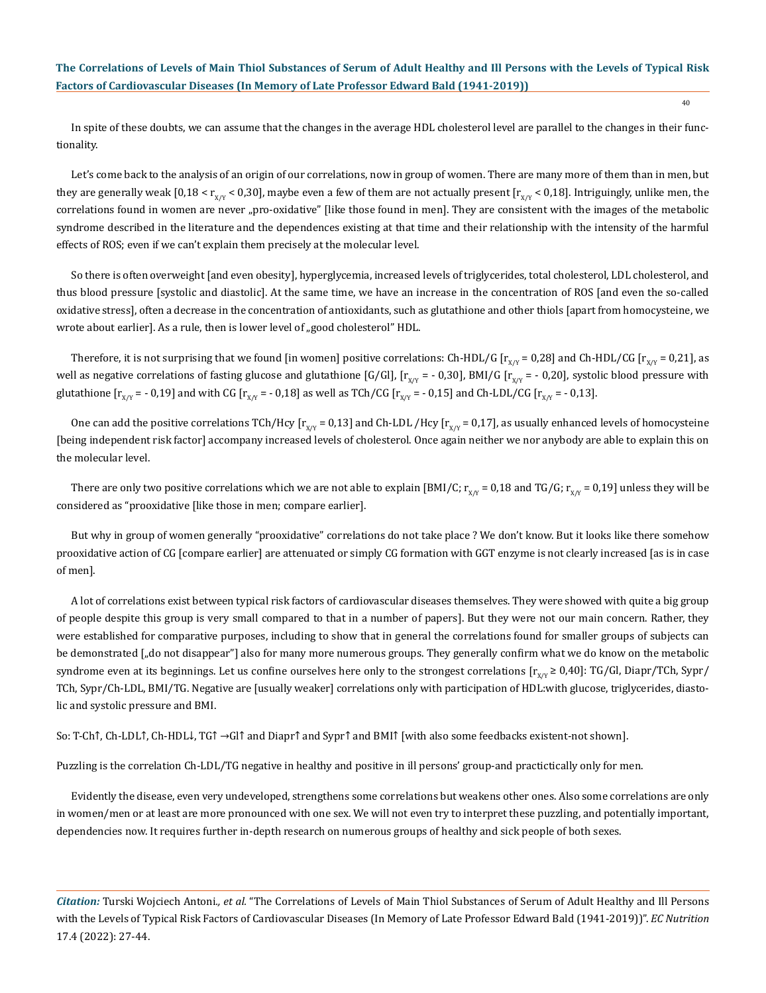In spite of these doubts, we can assume that the changes in the average HDL cholesterol level are parallel to the changes in their functionality.

Let's come back to the analysis of an origin of our correlations, now in group of women. There are many more of them than in men, but they are generally weak [0,18 <  $r_{X/Y}$  < 0,30], maybe even a few of them are not actually present [ $r_{X/Y}$  < 0,18]. Intriguingly, unlike men, the correlations found in women are never "pro-oxidative" [like those found in men]. They are consistent with the images of the metabolic syndrome described in the literature and the dependences existing at that time and their relationship with the intensity of the harmful effects of ROS; even if we can't explain them precisely at the molecular level.

So there is often overweight [and even obesity], hyperglycemia, increased levels of triglycerides, total cholesterol, LDL cholesterol, and thus blood pressure [systolic and diastolic]. At the same time, we have an increase in the concentration of ROS [and even the so-called oxidative stress], often a decrease in the concentration of antioxidants, such as glutathione and other thiols [apart from homocysteine, we wrote about earlier]. As a rule, then is lower level of "good cholesterol" HDL.

Therefore, it is not surprising that we found [in women] positive correlations: Ch-HDL/G  $[r_{xx} = 0.28]$  and Ch-HDL/CG  $[r_{xx} = 0.21]$ , as well as negative correlations of fasting glucose and glutathione [G/Gl],  $[r_{X/Y} = -0.30]$ , BMI/G  $[r_{X/Y} = -0.20]$ , systolic blood pressure with glutathione  $[r_{X/Y} = -0.19]$  and with CG  $[r_{X/Y} = -0.18]$  as well as TCh/CG  $[r_{X/Y} = -0.15]$  and Ch-LDL/CG  $[r_{X/Y} = -0.13]$ .

One can add the positive correlations TCh/Hcy [ $r_{X/Y}$  = 0,13] and Ch-LDL /Hcy [ $r_{X/Y}$  = 0,17], as usually enhanced levels of homocysteine [being independent risk factor] accompany increased levels of cholesterol. Once again neither we nor anybody are able to explain this on the molecular level.

There are only two positive correlations which we are not able to explain [BMI/C;  $r_{x,y} = 0.18$  and TG/G;  $r_{x,y} = 0.19$ ] unless they will be considered as "prooxidative [like those in men; compare earlier].

But why in group of women generally "prooxidative" correlations do not take place ? We don't know. But it looks like there somehow prooxidative action of CG [compare earlier] are attenuated or simply CG formation with GGT enzyme is not clearly increased [as is in case of men].

A lot of correlations exist between typical risk factors of cardiovascular diseases themselves. They were showed with quite a big group of people despite this group is very small compared to that in a number of papers]. But they were not our main concern. Rather, they were established for comparative purposes, including to show that in general the correlations found for smaller groups of subjects can be demonstrated ["do not disappear"] also for many more numerous groups. They generally confirm what we do know on the metabolic syndrome even at its beginnings. Let us confine ourselves here only to the strongest correlations  $[r_{X/Y} \ge 0.40]$ : TG/Gl, Diapr/TCh, Sypr/ TCh, Sypr/Ch-LDL, BMI/TG. Negative are [usually weaker] correlations only with participation of HDL:with glucose, triglycerides, diastolic and systolic pressure and BMI.

So: T-Ch↑, Ch-LDL↑, Ch-HDL↓, TG↑ →Gl↑ and Diapr↑ and Sypr↑ and BMI↑ [with also some feedbacks existent-not shown].

Puzzling is the correlation Ch-LDL/TG negative in healthy and positive in ill persons' group-and practictically only for men.

Evidently the disease, even very undeveloped, strengthens some correlations but weakens other ones. Also some correlations are only in women/men or at least are more pronounced with one sex. We will not even try to interpret these puzzling, and potentially important, dependencies now. It requires further in-depth research on numerous groups of healthy and sick people of both sexes.

*Citation:* Turski Wojciech Antoni*., et al.* "The Correlations of Levels of Main Thiol Substances of Serum of Adult Healthy and Ill Persons with the Levels of Typical Risk Factors of Cardiovascular Diseases (In Memory of Late Professor Edward Bald (1941-2019))". *EC Nutrition*  17.4 (2022): 27-44.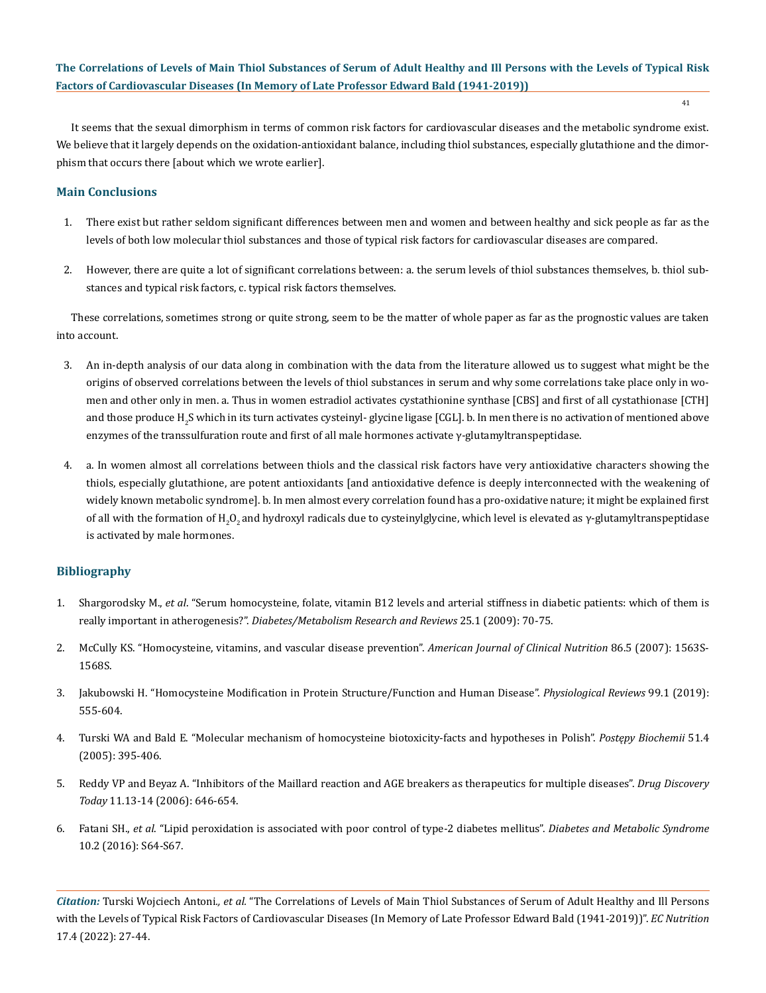It seems that the sexual dimorphism in terms of common risk factors for cardiovascular diseases and the metabolic syndrome exist. We believe that it largely depends on the oxidation-antioxidant balance, including thiol substances, especially glutathione and the dimorphism that occurs there [about which we wrote earlier].

## **Main Conclusions**

- 1. There exist but rather seldom significant differences between men and women and between healthy and sick people as far as the levels of both low molecular thiol substances and those of typical risk factors for cardiovascular diseases are compared.
- 2. However, there are quite a lot of significant correlations between: a. the serum levels of thiol substances themselves, b. thiol substances and typical risk factors, c. typical risk factors themselves.

These correlations, sometimes strong or quite strong, seem to be the matter of whole paper as far as the prognostic values are taken into account.

- 3. An in-depth analysis of our data along in combination with the data from the literature allowed us to suggest what might be the origins of observed correlations between the levels of thiol substances in serum and why some correlations take place only in women and other only in men. a. Thus in women estradiol activates cystathionine synthase [CBS] and first of all cystathionase [CTH] and those produce H<sub>2</sub>S which in its turn activates cysteinyl- glycine ligase [CGL]. b. In men there is no activation of mentioned above enzymes of the transsulfuration route and first of all male hormones activate γ-glutamyltranspeptidase.
- 4. a. In women almost all correlations between thiols and the classical risk factors have very antioxidative characters showing the thiols, especially glutathione, are potent antioxidants [and antioxidative defence is deeply interconnected with the weakening of widely known metabolic syndrome]. b. In men almost every correlation found has a pro-oxidative nature; it might be explained first of all with the formation of H<sub>2</sub>O<sub>2</sub> and hydroxyl radicals due to cysteinylglycine, which level is elevated as γ-glutamyltranspeptidase is activated by male hormones.

## **Bibliography**

- 1. Shargorodsky M., *et al*[. "Serum homocysteine, folate, vitamin B12 levels and arterial stiffness in diabetic patients: which of them is](https://pubmed.ncbi.nlm.nih.gov/19065546/)  really important in atherogenesis?". *[Diabetes/Metabolism Research and Reviews](https://pubmed.ncbi.nlm.nih.gov/19065546/)* 25.1 (2009): 70-75.
- 2. [McCully KS. "Homocysteine, vitamins, and vascular disease prevention".](https://pubmed.ncbi.nlm.nih.gov/17991676/) *American Journal of Clinical Nutrition* 86.5 (2007): 1563S-[1568S.](https://pubmed.ncbi.nlm.nih.gov/17991676/)
- 3. [Jakubowski H. "Homocysteine Modification in Protein Structure/Function and Human Disease".](https://pubmed.ncbi.nlm.nih.gov/30427275/) *Physiological Reviews* 99.1 (2019): [555-604.](https://pubmed.ncbi.nlm.nih.gov/30427275/)
- 4. Turski WA and Bald E. "Molecular mechanism of homocysteine biotoxicity-facts and hypotheses in Polish". *Postępy Biochemii* 51.4 (2005): 395-406.
- 5. [Reddy VP and Beyaz A. "Inhibitors of the Maillard reaction and AGE breakers as therapeutics for multiple diseases".](https://pubmed.ncbi.nlm.nih.gov/16793534/) *Drug Discovery Today* [11.13-14 \(2006\): 646-654.](https://pubmed.ncbi.nlm.nih.gov/16793534/)
- 6. Fatani SH., *et al*[. "Lipid peroxidation is associated with poor control of type-2 diabetes mellitus".](https://pubmed.ncbi.nlm.nih.gov/26806326/) *Diabetes and Metabolic Syndrome*  [10.2 \(2016\): S64-S67.](https://pubmed.ncbi.nlm.nih.gov/26806326/)

*Citation:* Turski Wojciech Antoni*., et al.* "The Correlations of Levels of Main Thiol Substances of Serum of Adult Healthy and Ill Persons with the Levels of Typical Risk Factors of Cardiovascular Diseases (In Memory of Late Professor Edward Bald (1941-2019))". *EC Nutrition*  17.4 (2022): 27-44.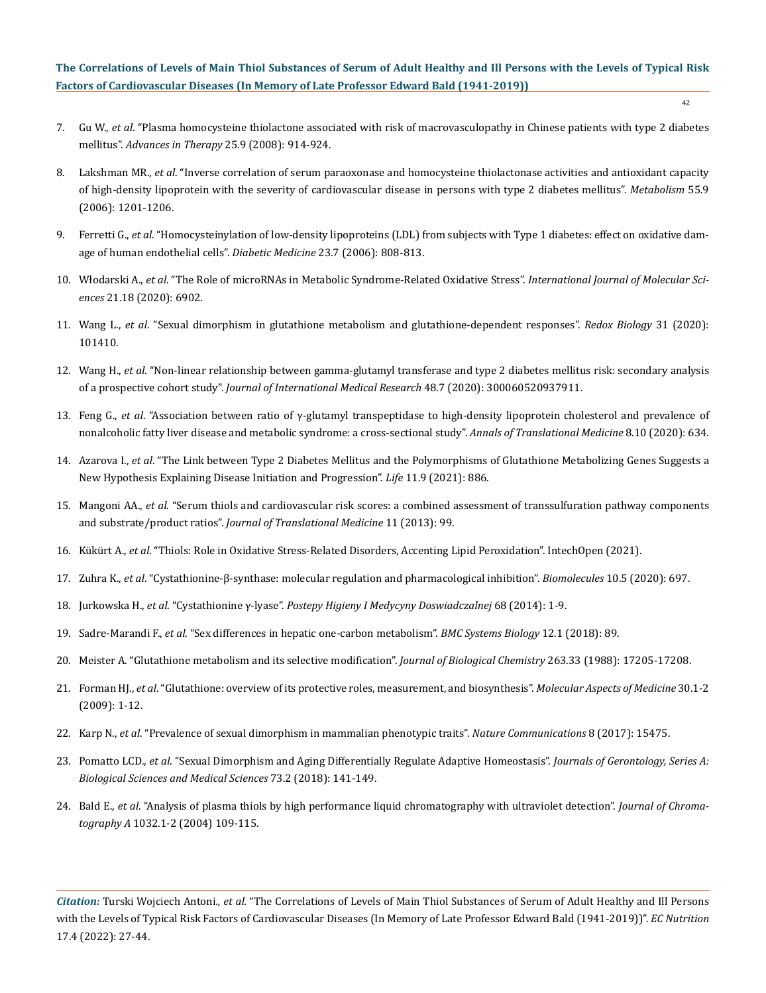- 7. Gu W., *et al*[. "Plasma homocysteine thiolactone associated with risk of macrovasculopathy in Chinese patients with type 2 diabetes](https://pubmed.ncbi.nlm.nih.gov/18791679/)  mellitus". *[Advances in Therapy](https://pubmed.ncbi.nlm.nih.gov/18791679/)* 25.9 (2008): 914-924.
- 8. Lakshman MR., *et al*[. "Inverse correlation of serum paraoxonase and homocysteine thiolactonase activities and antioxidant capacity](https://pubmed.ncbi.nlm.nih.gov/16919539/)  [of high-density lipoprotein with the severity of cardiovascular disease in persons with type 2 diabetes mellitus".](https://pubmed.ncbi.nlm.nih.gov/16919539/) *Metabolism* 55.9 [\(2006\): 1201-1206.](https://pubmed.ncbi.nlm.nih.gov/16919539/)
- 9. Ferretti G., *et al*[. "Homocysteinylation of low-density lipoproteins \(LDL\) from subjects with Type 1 diabetes: effect on oxidative dam](https://pubmed.ncbi.nlm.nih.gov/16842488/)[age of human endothelial cells".](https://pubmed.ncbi.nlm.nih.gov/16842488/) *Diabetic Medicine* 23.7 (2006): 808-813.
- 10. Włodarski A., *et al*[. "The Role of microRNAs in Metabolic Syndrome-Related Oxidative Stress".](https://pubmed.ncbi.nlm.nih.gov/32962281/) *International Journal of Molecular Sciences* [21.18 \(2020\): 6902.](https://pubmed.ncbi.nlm.nih.gov/32962281/)
- 11. Wang L., *et al*[. "Sexual dimorphism in glutathione metabolism and glutathione-dependent responses".](https://pubmed.ncbi.nlm.nih.gov/31883838/) *Redox Biology* 31 (2020): [101410.](https://pubmed.ncbi.nlm.nih.gov/31883838/)
- 12. Wang H., *et al*[. "Non-linear relationship between gamma-glutamyl transferase and type 2 diabetes mellitus risk: secondary analysis](https://pubmed.ncbi.nlm.nih.gov/32662704/)  of a prospective cohort study". *[Journal of International Medical Research](https://pubmed.ncbi.nlm.nih.gov/32662704/)* 48.7 (2020): 300060520937911.
- 13. Feng G., *et al*[. "Association between ratio of γ-glutamyl transpeptidase to high-density lipoprotein cholesterol and prevalence of](https://pubmed.ncbi.nlm.nih.gov/32566571/)  [nonalcoholic fatty liver disease and metabolic syndrome: a cross-sectional study".](https://pubmed.ncbi.nlm.nih.gov/32566571/) *Annals of Translational Medicine* 8.10 (2020): 634.
- 14. Azarova I., *et al*[. "The Link between Type 2 Diabetes Mellitus and the Polymorphisms of Glutathione Metabolizing Genes Suggests a](https://pubmed.ncbi.nlm.nih.gov/34575035/)  [New Hypothesis Explaining Disease Initiation and Progression".](https://pubmed.ncbi.nlm.nih.gov/34575035/) *Life* 11.9 (2021): 886.
- 15. Mangoni AA., *et al*[. "Serum thiols and cardiovascular risk scores: a combined assessment of transsulfuration pathway components](https://pubmed.ncbi.nlm.nih.gov/23587204/)  and substrate/product ratios". *[Journal of Translational Medicine](https://pubmed.ncbi.nlm.nih.gov/23587204/)* 11 (2013): 99.
- 16. Kükürt A., *et al*[. "Thiols: Role in Oxidative Stress-Related Disorders, Accenting Lipid Peroxidation". IntechOpen \(2021\).](https://www.intechopen.com/chapters/75841)
- 17. Zuhra K., *et al*[. "Cystathionine-β-synthase: molecular regulation and pharmacological inhibition".](https://www.ncbi.nlm.nih.gov/pmc/articles/PMC7277093/) *Biomolecules* 10.5 (2020): 697.
- 18. Jurkowska H., *et al*. "Cystathionine γ-lyase". *[Postepy Higieny I Medycyny Doswiadczalnej](https://pubmed.ncbi.nlm.nih.gov/24491890/)* 68 (2014): 1-9.
- 19. Sadre-Marandi F., *et al*[. "Sex differences in hepatic one-carbon metabolism".](https://pubmed.ncbi.nlm.nih.gov/30355281/) *BMC Systems Biology* 12.1 (2018): 89.
- 20. [Meister A. "Glutathione metabolism and its selective modification".](https://pubmed.ncbi.nlm.nih.gov/3053703/) *Journal of Biological Chemistry* 263.33 (1988): 17205-17208.
- 21. Forman HJ., *et al*[. "Glutathione: overview of its protective roles, measurement, and biosynthesis".](https://pubmed.ncbi.nlm.nih.gov/18796312/) *Molecular Aspects of Medicine* 30.1-2 [\(2009\): 1-12.](https://pubmed.ncbi.nlm.nih.gov/18796312/)
- 22. Karp N., *et al*[. "Prevalence of sexual dimorphism in mammalian phenotypic traits".](https://pubmed.ncbi.nlm.nih.gov/28650954/) *Nature Communications* 8 (2017): 15475.
- 23. Pomatto LCD., *et al*[. "Sexual Dimorphism and Aging Differentially Regulate Adaptive Homeostasis".](https://pubmed.ncbi.nlm.nih.gov/28525535/) *Journals of Gerontology, Series A: [Biological Sciences and Medical Sciences](https://pubmed.ncbi.nlm.nih.gov/28525535/)* 73.2 (2018): 141-149.
- 24. Bald E., *et al*[. "Analysis of plasma thiols by high performance liquid chromatography with ultraviolet detection".](https://pubmed.ncbi.nlm.nih.gov/15065785/) *Journal of Chromatography A* [1032.1-2 \(2004\) 109-115.](https://pubmed.ncbi.nlm.nih.gov/15065785/)

*Citation:* Turski Wojciech Antoni*., et al.* "The Correlations of Levels of Main Thiol Substances of Serum of Adult Healthy and Ill Persons with the Levels of Typical Risk Factors of Cardiovascular Diseases (In Memory of Late Professor Edward Bald (1941-2019))". *EC Nutrition*  17.4 (2022): 27-44.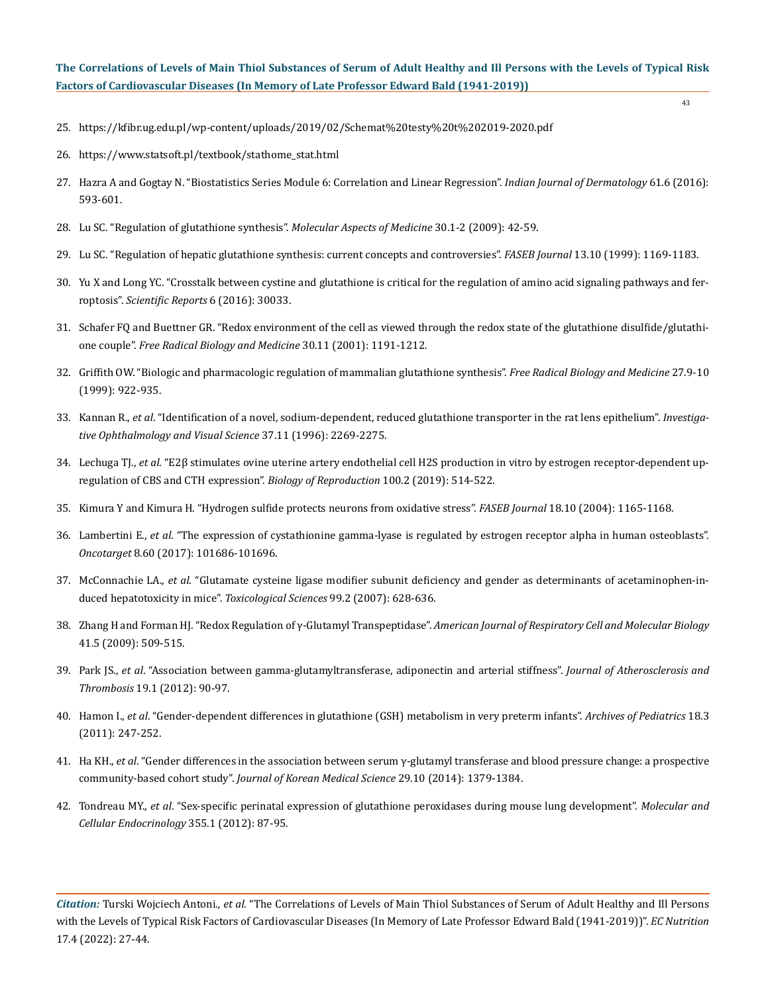43

- 25. <https://kfibr.ug.edu.pl/wp-content/uploads/2019/02/Schemat%20testy%20t%202019-2020.pdf>
- 26. [https://www.statsoft.pl/textbook/stathome\\_stat.html](https://www.statsoft.pl/textbook/stathome_stat.html)
- 27. [Hazra A and Gogtay N. "Biostatistics Series Module 6: Correlation and Linear Regression".](https://pubmed.ncbi.nlm.nih.gov/27904175/) *Indian Journal of Dermatology* 61.6 (2016): [593-601.](https://pubmed.ncbi.nlm.nih.gov/27904175/)
- 28. [Lu SC. "Regulation of glutathione synthesis".](https://pubmed.ncbi.nlm.nih.gov/18601945/) *Molecular Aspects of Medicine* 30.1-2 (2009): 42-59.
- 29. [Lu SC. "Regulation of hepatic glutathione synthesis: current concepts and controversies".](https://faseb.onlinelibrary.wiley.com/doi/full/10.1096/fasebj.13.10.1169) *FASEB Journal* 13.10 (1999): 1169-1183.
- 30. [Yu X and Long YC. "Crosstalk between cystine and glutathione is critical for the regulation of amino acid signaling pathways and fer](https://www.nature.com/articles/srep30033)roptosis". *[Scientific Reports](https://www.nature.com/articles/srep30033)* 6 (2016): 30033.
- 31. [Schafer FQ and Buettner GR. "Redox environment of the cell as viewed through the redox state of the glutathione disulfide/glutathi](https://pubmed.ncbi.nlm.nih.gov/11368918/)one couple". *[Free Radical Biology and Medicine](https://pubmed.ncbi.nlm.nih.gov/11368918/)* 30.11 (2001): 1191-1212.
- 32. [Griffith OW. "Biologic and pharmacologic regulation of mammalian glutathione synthesis".](https://pubmed.ncbi.nlm.nih.gov/10569625/) *Free Radical Biology and Medicine* 27.9-10 [\(1999\): 922-935.](https://pubmed.ncbi.nlm.nih.gov/10569625/)
- 33. Kannan R., *et al*[. "Identification of a novel, sodium-dependent, reduced glutathione transporter in the rat lens epithelium".](https://pubmed.ncbi.nlm.nih.gov/8843923/) *Investiga[tive Ophthalmology and Visual Science](https://pubmed.ncbi.nlm.nih.gov/8843923/)* 37.11 (1996): 2269-2275.
- 34. Lechuga TJ., *et al*[. "E2β stimulates ovine uterine artery endothelial cell H2S production in vitro by estrogen receptor-dependent up](https://pubmed.ncbi.nlm.nih.gov/30277497/)[regulation of CBS and CTH expression".](https://pubmed.ncbi.nlm.nih.gov/30277497/) *Biology of Reproduction* 100.2 (2019): 514-522.
- 35. [Kimura Y and Kimura H. "Hydrogen sulfide protects neurons from oxidative stress".](https://pubmed.ncbi.nlm.nih.gov/15155563/) *FASEB Journal* 18.10 (2004): 1165-1168.
- 36. Lambertini E., *et al*[. "The expression of cystathionine gamma-lyase is regulated by estrogen receptor alpha in human osteoblasts".](https://pubmed.ncbi.nlm.nih.gov/29254196/)  *Oncotarget* [8.60 \(2017\): 101686-101696.](https://pubmed.ncbi.nlm.nih.gov/29254196/)
- 37. McConnachie LA., *et al*[. "Glutamate cysteine ligase modifier subunit deficiency and gender as determinants of acetaminophen-in](https://pubmed.ncbi.nlm.nih.gov/17584759/)[duced hepatotoxicity in mice".](https://pubmed.ncbi.nlm.nih.gov/17584759/) *Toxicological Sciences* 99.2 (2007): 628-636.
- 38. [Zhang H and Forman HJ. "Redox Regulation of γ-Glutamyl Transpeptidase".](https://pubmed.ncbi.nlm.nih.gov/19684307/) *American Journal of Respiratory Cell and Molecular Biology* [41.5 \(2009\): 509-515.](https://pubmed.ncbi.nlm.nih.gov/19684307/)
- 39. Park JS., *et al*[. "Association between gamma-glutamyltransferase, adiponectin and arterial stiffness".](https://www.jstage.jst.go.jp/article/jat/19/1/19_9779/_article) *Journal of Atherosclerosis and Thrombosis* [19.1 \(2012\): 90-97.](https://www.jstage.jst.go.jp/article/jat/19/1/19_9779/_article)
- 40. Hamon I., *et al*[. "Gender-dependent differences in glutathione \(GSH\) metabolism in very preterm infants".](https://pubmed.ncbi.nlm.nih.gov/21255988/) *Archives of Pediatrics* 18.3 [\(2011\): 247-252.](https://pubmed.ncbi.nlm.nih.gov/21255988/)
- 41. Ha KH., *et al*[. "Gender differences in the association between serum γ-glutamyl transferase and blood pressure change: a prospective](https://pubmed.ncbi.nlm.nih.gov/25368491/)  community-based cohort study". *[Journal of Korean Medical Science](https://pubmed.ncbi.nlm.nih.gov/25368491/)* 29.10 (2014): 1379-1384.
- 42. Tondreau MY., *et al*[. "Sex-specific perinatal expression of glutathione peroxidases during mouse lung development".](https://pubmed.ncbi.nlm.nih.gov/22326323/) *Molecular and [Cellular Endocrinology](https://pubmed.ncbi.nlm.nih.gov/22326323/)* 355.1 (2012): 87-95.